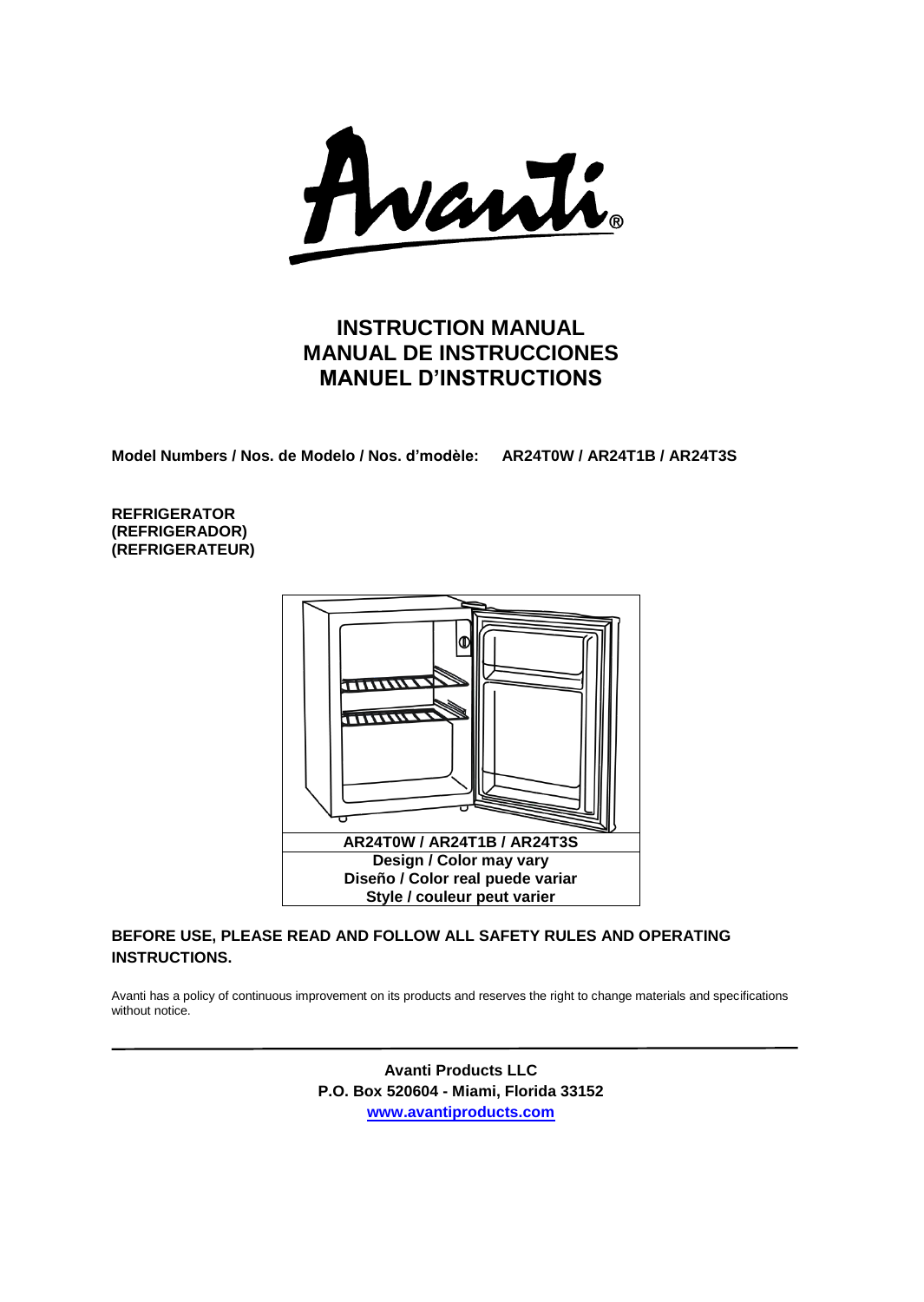

# **INSTRUCTION MANUAL MANUAL DE INSTRUCCIONES MANUEL D'INSTRUCTIONS**

**Model Numbers / Nos. de Modelo / Nos. d'modèle: AR24T0W / AR24T1B / AR24T3S**

**REFRIGERATOR (REFRIGERADOR) (REFRIGERATEUR)**



## **BEFORE USE, PLEASE READ AND FOLLOW ALL SAFETY RULES AND OPERATING INSTRUCTIONS.**

Avanti has a policy of continuous improvement on its products and reserves the right to change materials and specifications without notice.

> **Avanti Products LLC P.O. Box 520604 - Miami, Florida 33152 [www.avantiproducts.com](http://www.avantiproducts.com/)**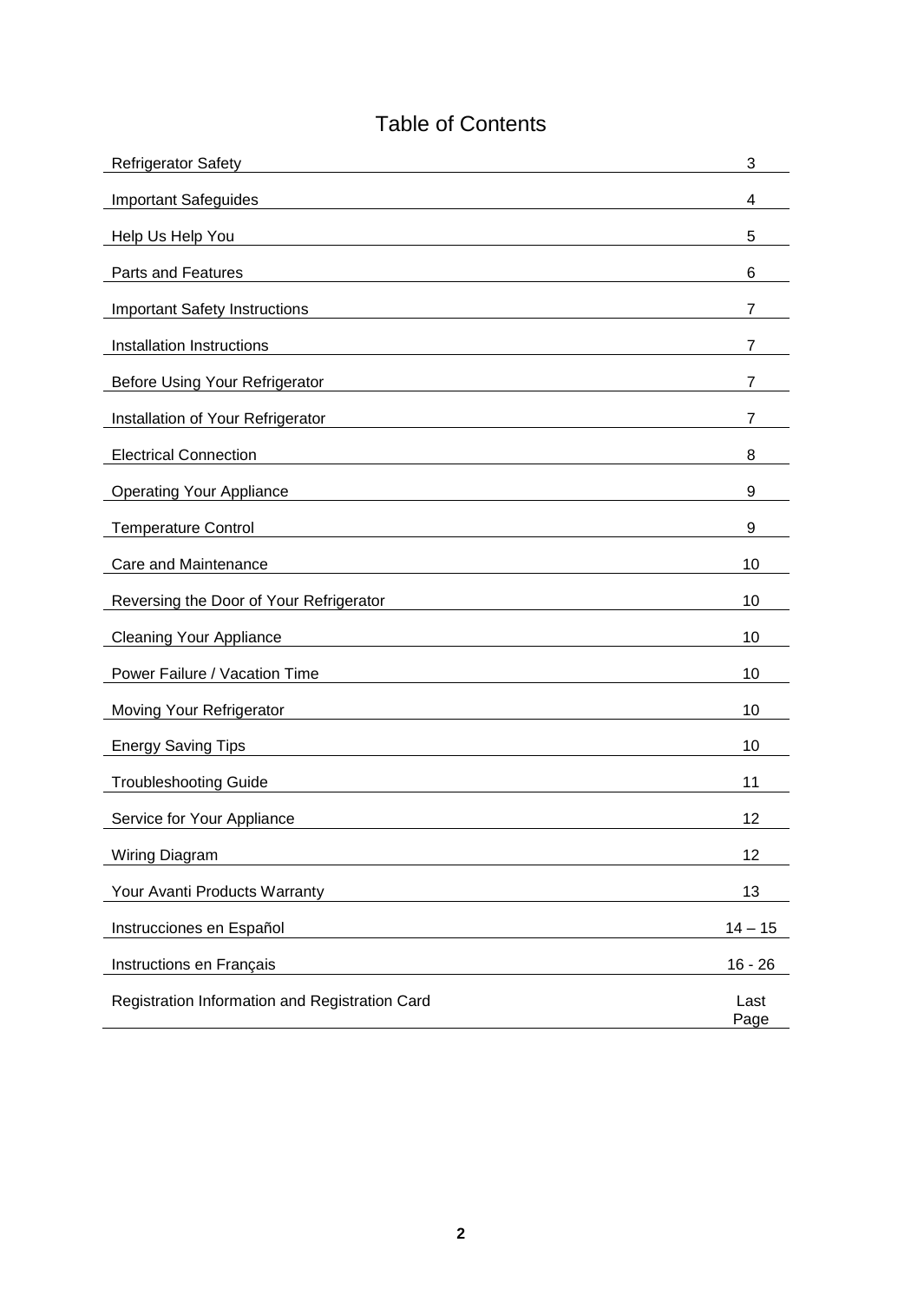# Table of Contents

| <b>Refrigerator Safety</b>                     | 3            |
|------------------------------------------------|--------------|
| <b>Important Safeguides</b>                    | 4            |
| Help Us Help You                               | 5            |
| <b>Parts and Features</b>                      | 6            |
| <b>Important Safety Instructions</b>           | 7            |
| Installation Instructions                      | 7            |
| Before Using Your Refrigerator                 | 7            |
| Installation of Your Refrigerator              | 7            |
| <b>Electrical Connection</b>                   | 8            |
| <b>Operating Your Appliance</b>                | 9            |
| <b>Temperature Control</b>                     | 9            |
| Care and Maintenance                           | 10           |
| Reversing the Door of Your Refrigerator        | 10           |
| <b>Cleaning Your Appliance</b>                 | 10           |
| Power Failure / Vacation Time                  | 10           |
| Moving Your Refrigerator                       | 10           |
| <b>Energy Saving Tips</b>                      | 10           |
| <b>Troubleshooting Guide</b>                   | 11           |
| Service for Your Appliance                     | 12           |
| <b>Wiring Diagram</b>                          | 12           |
| Your Avanti Products Warranty                  | 13           |
| Instrucciones en Español                       | $14 - 15$    |
| Instructions en Français                       | $16 - 26$    |
| Registration Information and Registration Card | Last<br>Page |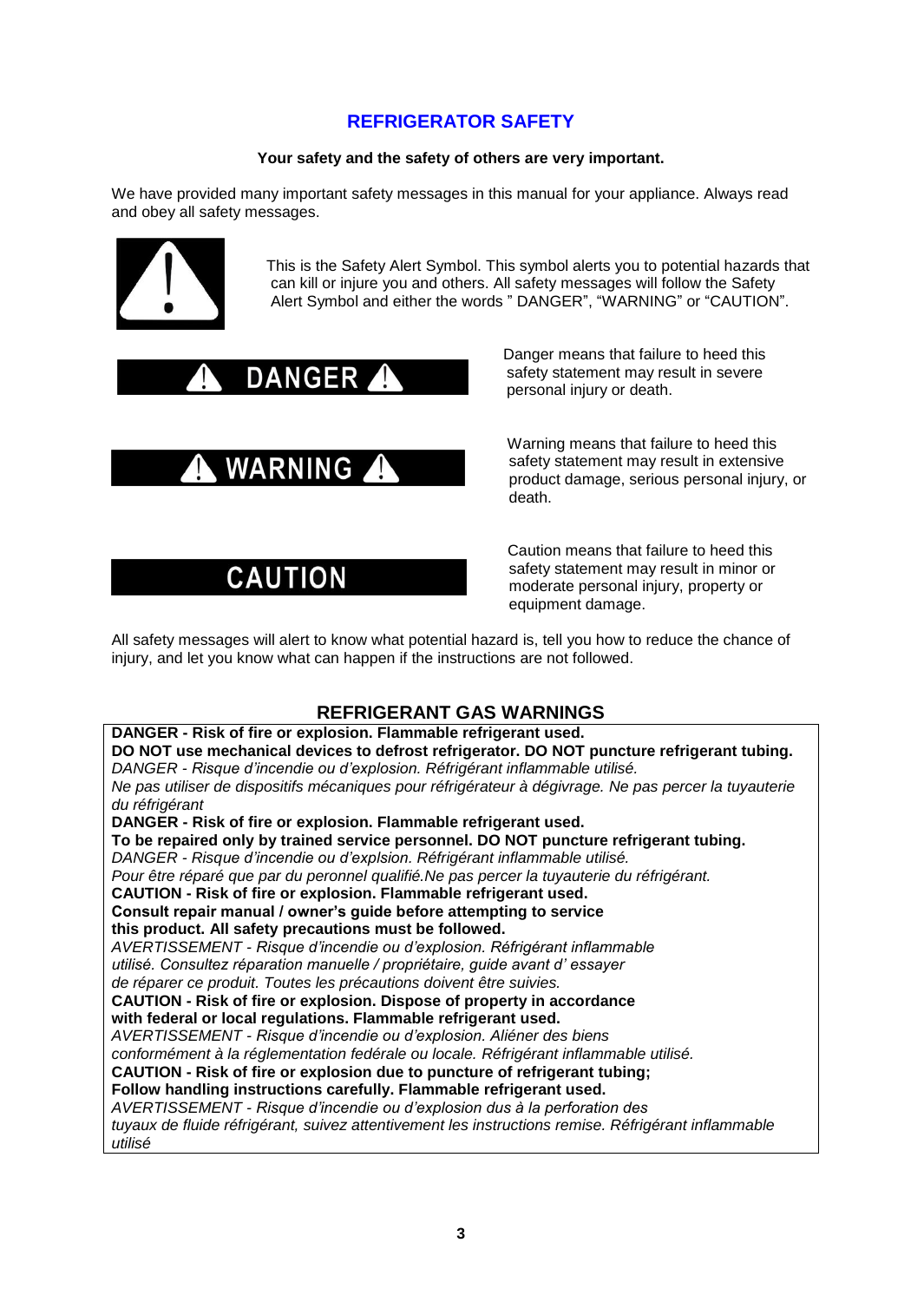# **REFRIGERATOR SAFETY**

## **Your safety and the safety of others are very important.**

We have provided many important safety messages in this manual for your appliance. Always read and obey all safety messages.



 This is the Safety Alert Symbol. This symbol alerts you to potential hazards that can kill or injure you and others. All safety messages will follow the Safety Alert Symbol and either the words " DANGER", "WARNING" or "CAUTION".





# **CAUTION**

DANGER PRESER AND DANGER DANGER AND DANGER AND A SAFETY AT A SAFETY AT A SAFETY AT A SAFETY AT A SAFETY AT A SAFETY AT A SAFETY AT A SAFETY AND THE MANUSCRIPTION OF THE MANUSCRIPTION OF THE MANUSCRIPTION OF THE MANUSCRIPTI safety statement may result in severe personal injury or death.

> Warning means that failure to heed this safety statement may result in extensive product damage, serious personal injury, or death.

 Caution means that failure to heed this safety statement may result in minor or moderate personal injury, property or equipment damage.

All safety messages will alert to know what potential hazard is, tell you how to reduce the chance of injury, and let you know what can happen if the instructions are not followed.

# **REFRIGERANT GAS WARNINGS**

**DANGER - Risk of fire or explosion. Flammable refrigerant used. DO NOT use mechanical devices to defrost refrigerator. DO NOT puncture refrigerant tubing.** *DANGER - Risque d'incendie ou d'explosion. Réfrigérant inflammable utilisé. Ne pas utiliser de dispositifs mécaniques pour réfrigérateur à dégivrage. Ne pas percer la tuyauterie du réfrigérant* **DANGER - Risk of fire or explosion. Flammable refrigerant used. To be repaired only by trained service personnel. DO NOT puncture refrigerant tubing.** *DANGER - Risque d'incendie ou d'explsion. Réfrigérant inflammable utilisé. Pour être réparé que par du peronnel qualifié.Ne pas percer la tuyauterie du réfrigérant.* **CAUTION - Risk of fire or explosion. Flammable refrigerant used. Consult repair manual / owner's guide before attempting to service this product. All safety precautions must be followed.** *AVERTISSEMENT - Risque d'incendie ou d'explosion. Réfrigérant inflammable utilisé. Consultez réparation manuelle / propriétaire, guide avant d' essayer de réparer ce produit. Toutes les précautions doivent être suivies.* **CAUTION - Risk of fire or explosion. Dispose of property in accordance with federal or local regulations. Flammable refrigerant used.** *AVERTISSEMENT - Risque d'incendie ou d'explosion. Aliéner des biens conformément à la réglementation fedérale ou locale. Réfrigérant inflammable utilisé.* **CAUTION - Risk of fire or explosion due to puncture of refrigerant tubing; Follow handling instructions carefully. Flammable refrigerant used.** *AVERTISSEMENT - Risque d'incendie ou d'explosion dus à la perforation des tuyaux de fluide réfrigérant, suivez attentivement les instructions remise. Réfrigérant inflammable utilisé*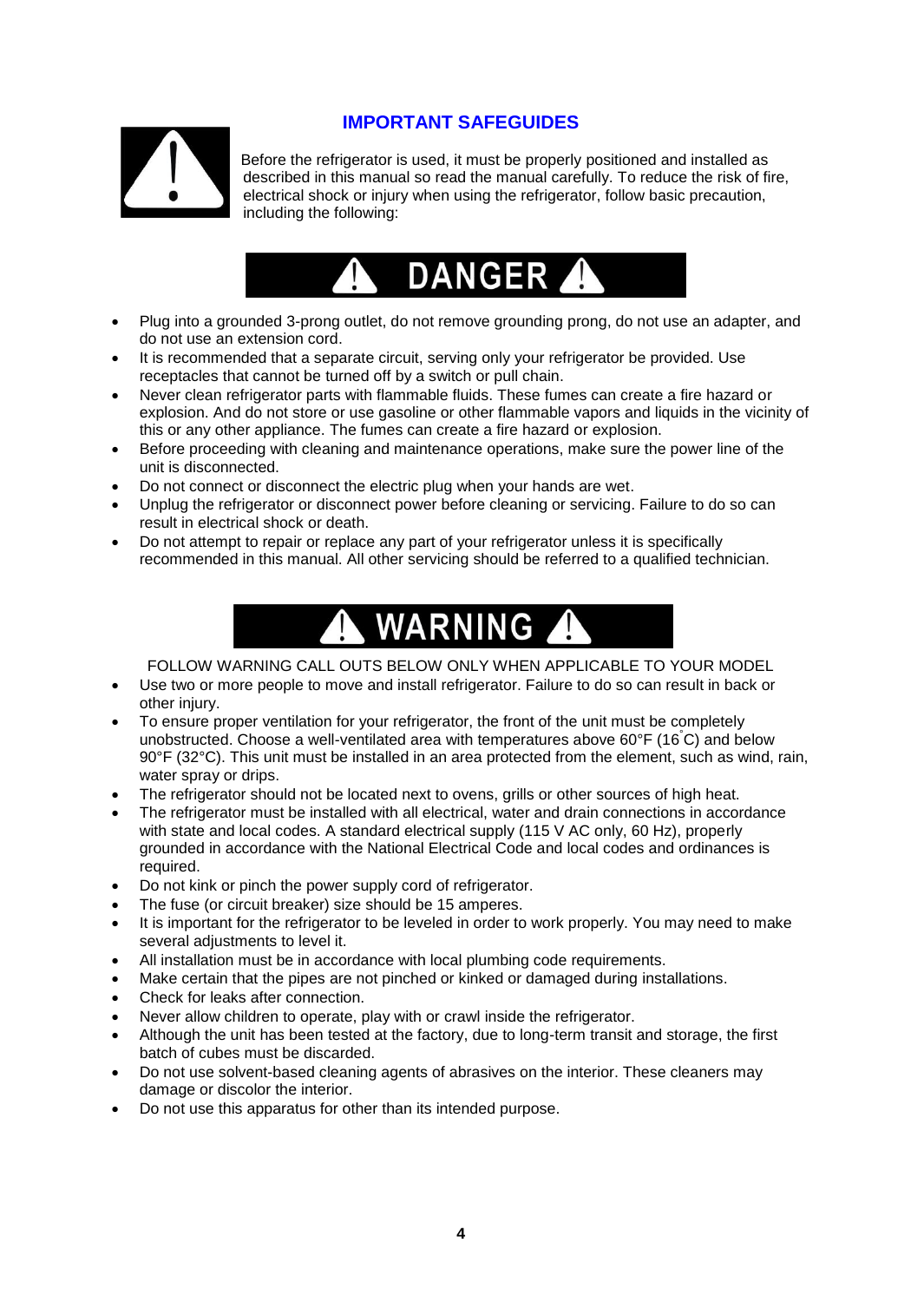

# **IMPORTANT SAFEGUIDES**

 Before the refrigerator is used, it must be properly positioned and installed as described in this manual so read the manual carefully. To reduce the risk of fire, electrical shock or injury when using the refrigerator, follow basic precaution, including the following:



- Plug into a grounded 3-prong outlet, do not remove grounding prong, do not use an adapter, and do not use an extension cord.
- It is recommended that a separate circuit, serving only your refrigerator be provided. Use receptacles that cannot be turned off by a switch or pull chain.
- Never clean refrigerator parts with flammable fluids. These fumes can create a fire hazard or explosion. And do not store or use gasoline or other flammable vapors and liquids in the vicinity of this or any other appliance. The fumes can create a fire hazard or explosion.
- Before proceeding with cleaning and maintenance operations, make sure the power line of the unit is disconnected.
- Do not connect or disconnect the electric plug when your hands are wet.
- Unplug the refrigerator or disconnect power before cleaning or servicing. Failure to do so can result in electrical shock or death.
- Do not attempt to repair or replace any part of your refrigerator unless it is specifically recommended in this manual. All other servicing should be referred to a qualified technician.



FOLLOW WARNING CALL OUTS BELOW ONLY WHEN APPLICABLE TO YOUR MODEL

- Use two or more people to move and install refrigerator. Failure to do so can result in back or other injury.
- To ensure proper ventilation for your refrigerator, the front of the unit must be completely unobstructed. Choose a well-ventilated area with temperatures above 60°F (16 °C) and below 90°F (32°C). This unit must be installed in an area protected from the element, such as wind, rain, water spray or drips.
- The refrigerator should not be located next to ovens, grills or other sources of high heat.
- The refrigerator must be installed with all electrical, water and drain connections in accordance with state and local codes. A standard electrical supply (115 V AC only, 60 Hz), properly grounded in accordance with the National Electrical Code and local codes and ordinances is required.
- Do not kink or pinch the power supply cord of refrigerator.
- The fuse (or circuit breaker) size should be 15 amperes.
- It is important for the refrigerator to be leveled in order to work properly. You may need to make several adjustments to level it.
- All installation must be in accordance with local plumbing code requirements.
- Make certain that the pipes are not pinched or kinked or damaged during installations.
- Check for leaks after connection.
- Never allow children to operate, play with or crawl inside the refrigerator.
- Although the unit has been tested at the factory, due to long-term transit and storage, the first batch of cubes must be discarded.
- Do not use solvent-based cleaning agents of abrasives on the interior. These cleaners may damage or discolor the interior.
- Do not use this apparatus for other than its intended purpose.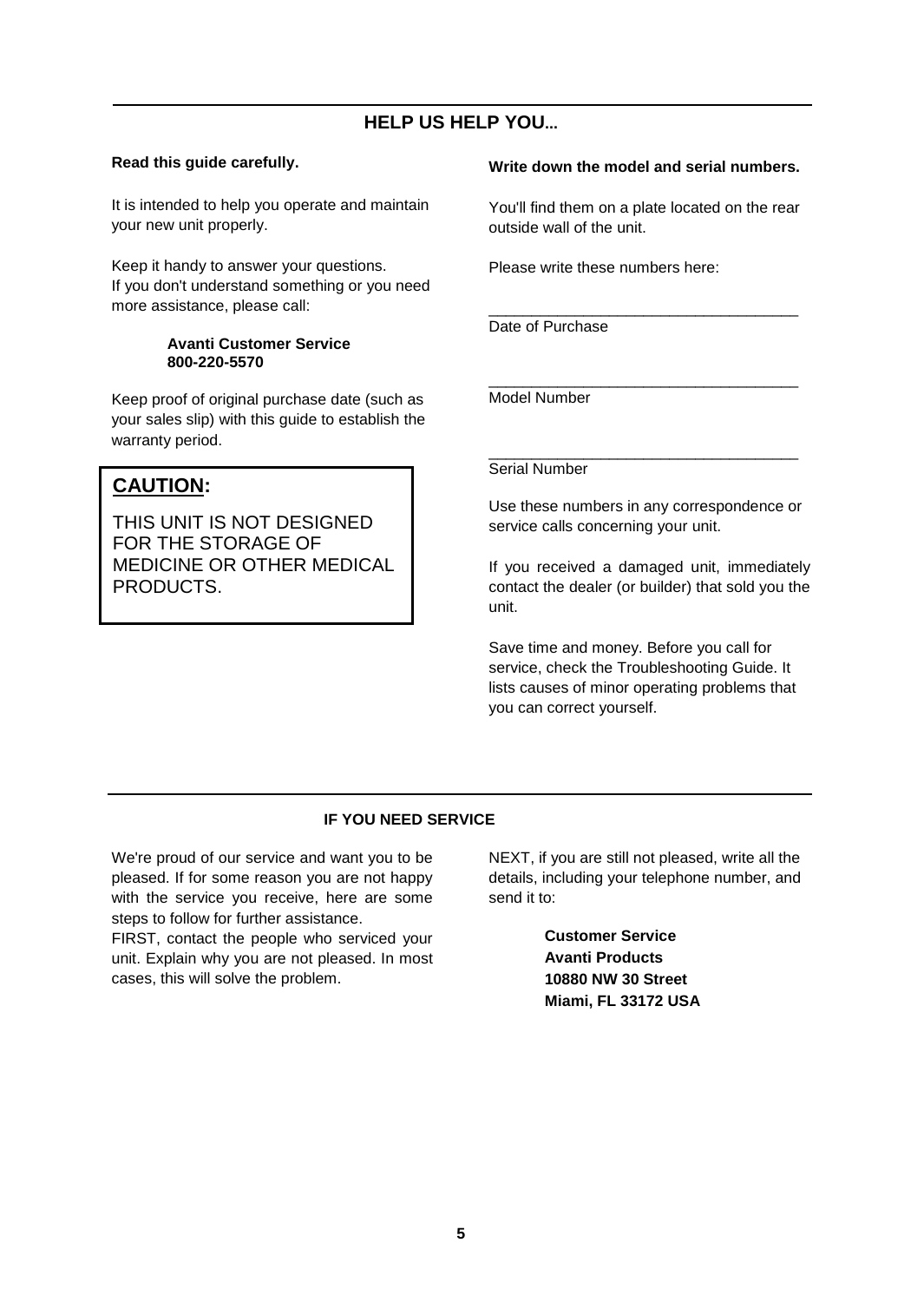# **HELP US HELP YOU...**

## **Read this guide carefully.**

It is intended to help you operate and maintain your new unit properly.

Keep it handy to answer your questions. If you don't understand something or you need more assistance, please call:

#### **Avanti Customer Service 800-220-5570**

Keep proof of original purchase date (such as your sales slip) with this guide to establish the warranty period.

# **CAUTION:**

THIS UNIT IS NOT DESIGNED FOR THE STORAGE OF MEDICINE OR OTHER MEDICAL PRODUCTS.

### **Write down the model and serial numbers.**

You'll find them on a plate located on the rear outside wall of the unit.

\_\_\_\_\_\_\_\_\_\_\_\_\_\_\_\_\_\_\_\_\_\_\_\_\_\_\_\_\_\_\_\_\_\_\_\_

Please write these numbers here:

Date of Purchase

\_\_\_\_\_\_\_\_\_\_\_\_\_\_\_\_\_\_\_\_\_\_\_\_\_\_\_\_\_\_\_\_\_\_\_\_ Model Number

\_\_\_\_\_\_\_\_\_\_\_\_\_\_\_\_\_\_\_\_\_\_\_\_\_\_\_\_\_\_\_\_\_\_\_\_ Serial Number

Use these numbers in any correspondence or service calls concerning your unit.

If you received a damaged unit, immediately contact the dealer (or builder) that sold you the unit.

Save time and money. Before you call for service, check the Troubleshooting Guide. It lists causes of minor operating problems that you can correct yourself.

## **IF YOU NEED SERVICE**

We're proud of our service and want you to be pleased. If for some reason you are not happy with the service you receive, here are some steps to follow for further assistance. FIRST, contact the people who serviced your unit. Explain why you are not pleased. In most

cases, this will solve the problem.

NEXT, if you are still not pleased, write all the details, including your telephone number, and send it to:

> **Customer Service Avanti Products 10880 NW 30 Street Miami, FL 33172 USA**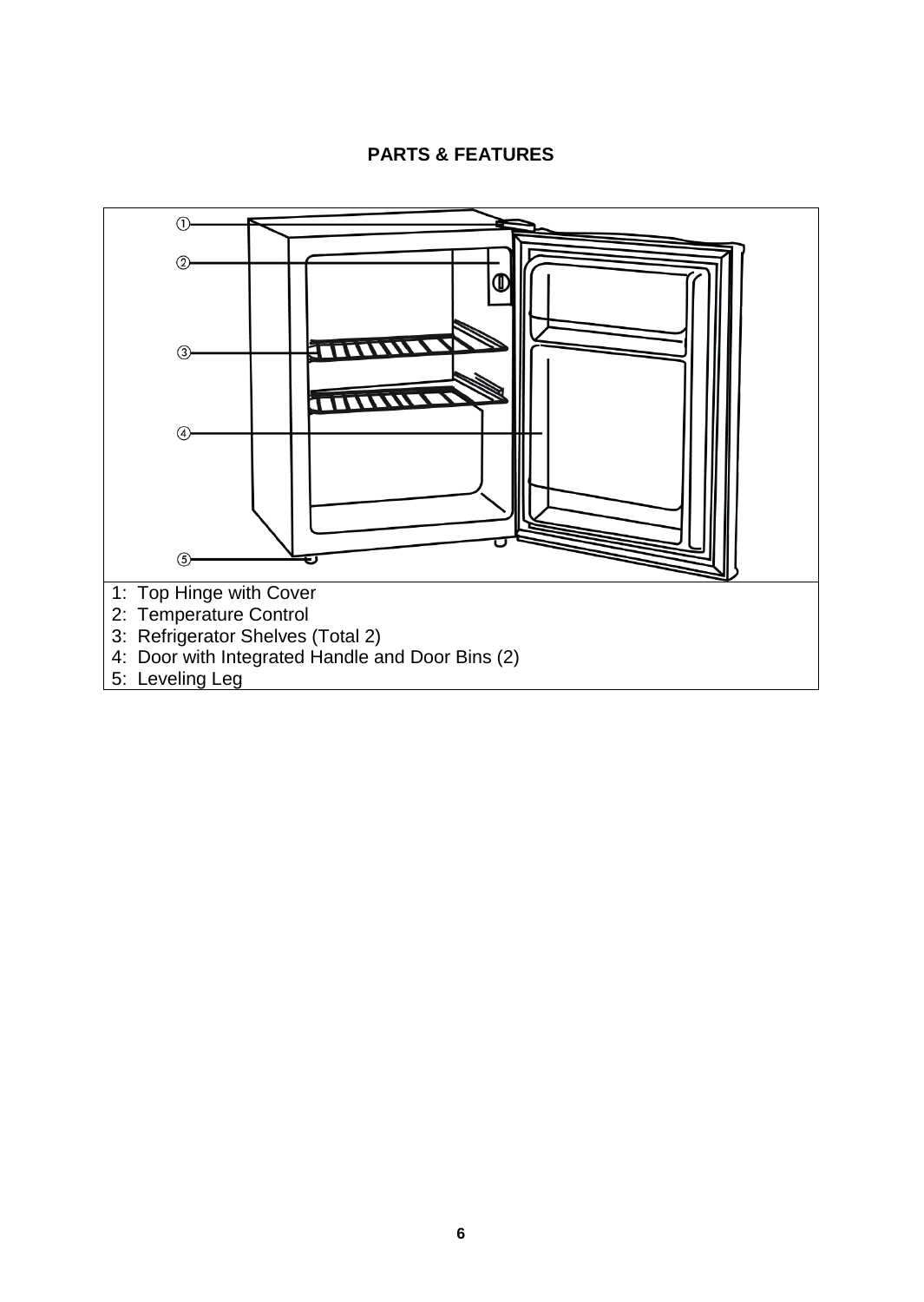# **PARTS & FEATURES**

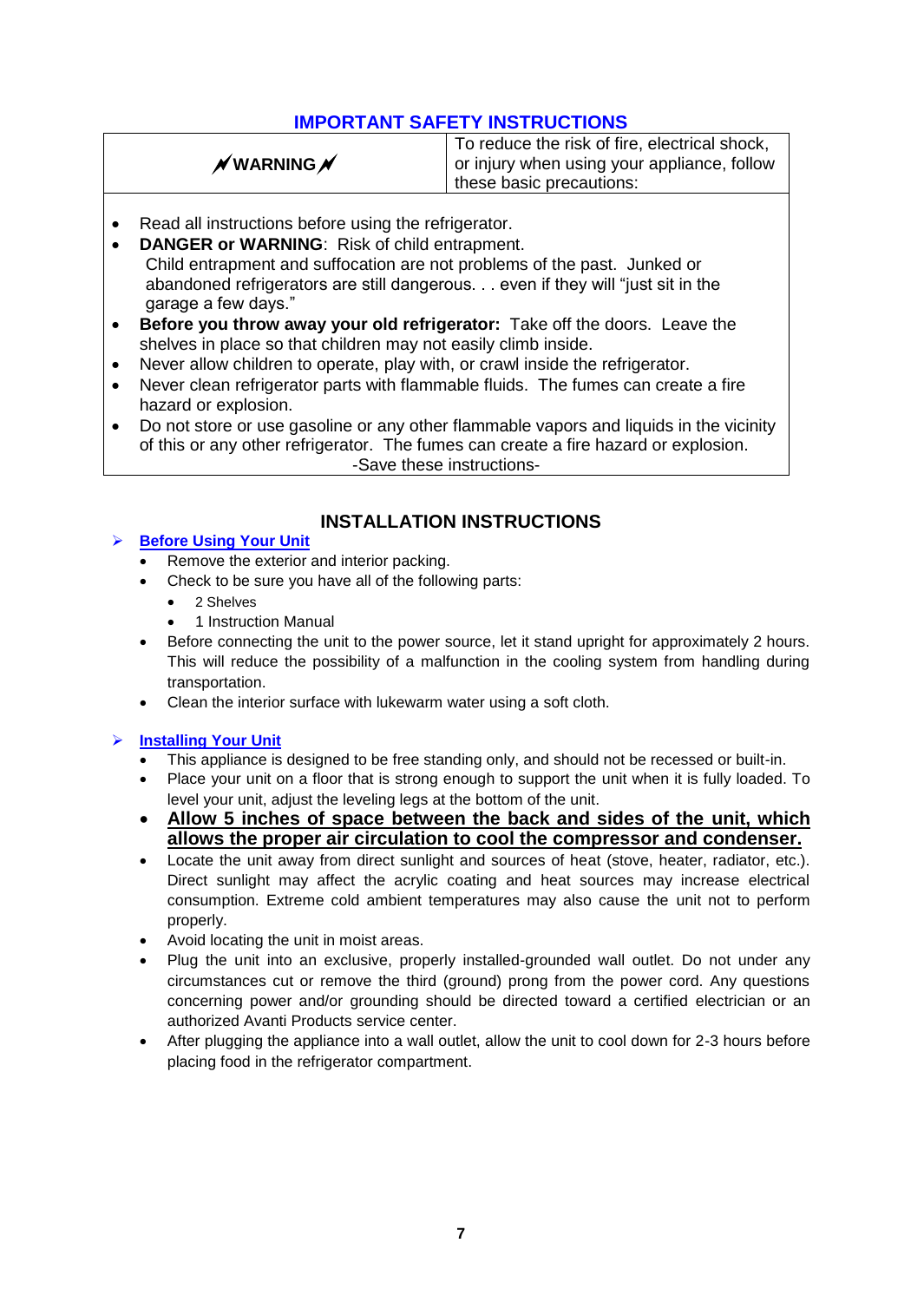# **IMPORTANT SAFETY INSTRUCTIONS**

|  | $\not$ WARNING $\not$ |  |
|--|-----------------------|--|
|  |                       |  |

To reduce the risk of fire, electrical shock, or injury when using your appliance, follow these basic precautions:

- Read all instructions before using the refrigerator.
- **DANGER or WARNING**: Risk of child entrapment. Child entrapment and suffocation are not problems of the past. Junked or abandoned refrigerators are still dangerous. . . even if they will "just sit in the garage a few days."
- **Before you throw away your old refrigerator:** Take off the doors. Leave the shelves in place so that children may not easily climb inside.
- Never allow children to operate, play with, or crawl inside the refrigerator.
- Never clean refrigerator parts with flammable fluids. The fumes can create a fire hazard or explosion.
- Do not store or use gasoline or any other flammable vapors and liquids in the vicinity of this or any other refrigerator. The fumes can create a fire hazard or explosion. -Save these instructions-

# **Before Using Your Unit**

# **INSTALLATION INSTRUCTIONS**

- Remove the exterior and interior packing.
- Check to be sure you have all of the following parts:
	- 2 Shelves
	- 1 Instruction Manual
- Before connecting the unit to the power source, let it stand upright for approximately 2 hours. This will reduce the possibility of a malfunction in the cooling system from handling during transportation.
- Clean the interior surface with lukewarm water using a soft cloth.

## **Installing Your Unit**

- This appliance is designed to be free standing only, and should not be recessed or built-in.
- Place your unit on a floor that is strong enough to support the unit when it is fully loaded. To level your unit, adjust the leveling legs at the bottom of the unit.
- **Allow 5 inches of space between the back and sides of the unit, which allows the proper air circulation to cool the compressor and condenser.**
- Locate the unit away from direct sunlight and sources of heat (stove, heater, radiator, etc.). Direct sunlight may affect the acrylic coating and heat sources may increase electrical consumption. Extreme cold ambient temperatures may also cause the unit not to perform properly.
- Avoid locating the unit in moist areas.
- Plug the unit into an exclusive, properly installed-grounded wall outlet. Do not under any circumstances cut or remove the third (ground) prong from the power cord. Any questions concerning power and/or grounding should be directed toward a certified electrician or an authorized Avanti Products service center.
- After plugging the appliance into a wall outlet, allow the unit to cool down for 2-3 hours before placing food in the refrigerator compartment.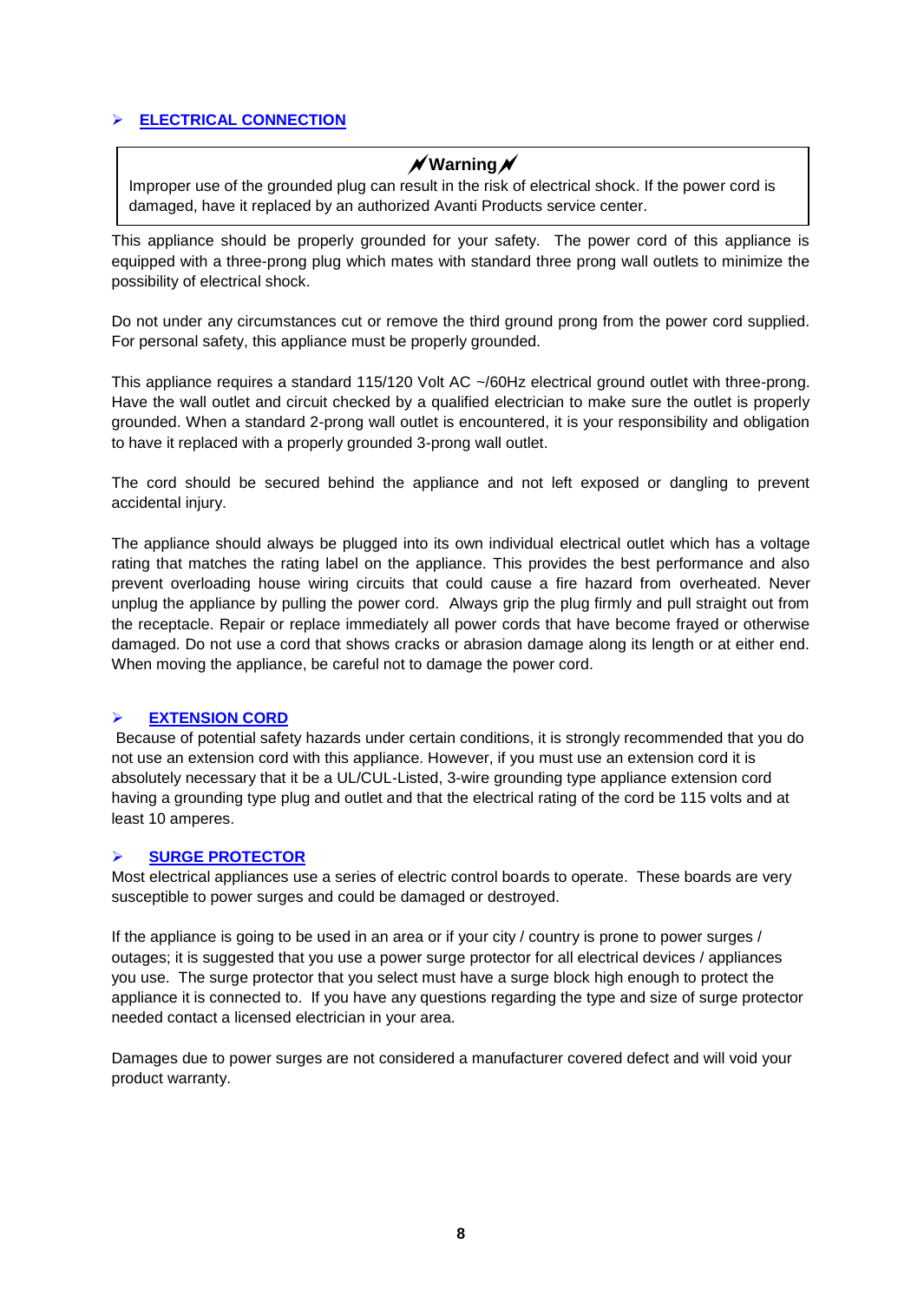## **ELECTRICAL CONNECTION**

# **Warning**

Improper use of the grounded plug can result in the risk of electrical shock. If the power cord is damaged, have it replaced by an authorized Avanti Products service center.

This appliance should be properly grounded for your safety. The power cord of this appliance is equipped with a three-prong plug which mates with standard three prong wall outlets to minimize the possibility of electrical shock.

Do not under any circumstances cut or remove the third ground prong from the power cord supplied. For personal safety, this appliance must be properly grounded.

This appliance requires a standard 115/120 Volt AC ~/60Hz electrical ground outlet with three-prong. Have the wall outlet and circuit checked by a qualified electrician to make sure the outlet is properly grounded. When a standard 2-prong wall outlet is encountered, it is your responsibility and obligation to have it replaced with a properly grounded 3-prong wall outlet.

The cord should be secured behind the appliance and not left exposed or dangling to prevent accidental injury.

The appliance should always be plugged into its own individual electrical outlet which has a voltage rating that matches the rating label on the appliance. This provides the best performance and also prevent overloading house wiring circuits that could cause a fire hazard from overheated. Never unplug the appliance by pulling the power cord. Always grip the plug firmly and pull straight out from the receptacle. Repair or replace immediately all power cords that have become frayed or otherwise damaged. Do not use a cord that shows cracks or abrasion damage along its length or at either end. When moving the appliance, be careful not to damage the power cord.

### **EXTENSION CORD**

Because of potential safety hazards under certain conditions, it is strongly recommended that you do not use an extension cord with this appliance. However, if you must use an extension cord it is absolutely necessary that it be a UL/CUL-Listed, 3-wire grounding type appliance extension cord having a grounding type plug and outlet and that the electrical rating of the cord be 115 volts and at least 10 amperes.

#### **SURGE PROTECTOR**

Most electrical appliances use a series of electric control boards to operate. These boards are very susceptible to power surges and could be damaged or destroyed.

If the appliance is going to be used in an area or if your city / country is prone to power surges / outages; it is suggested that you use a power surge protector for all electrical devices / appliances you use. The surge protector that you select must have a surge block high enough to protect the appliance it is connected to. If you have any questions regarding the type and size of surge protector needed contact a licensed electrician in your area.

Damages due to power surges are not considered a manufacturer covered defect and will void your product warranty.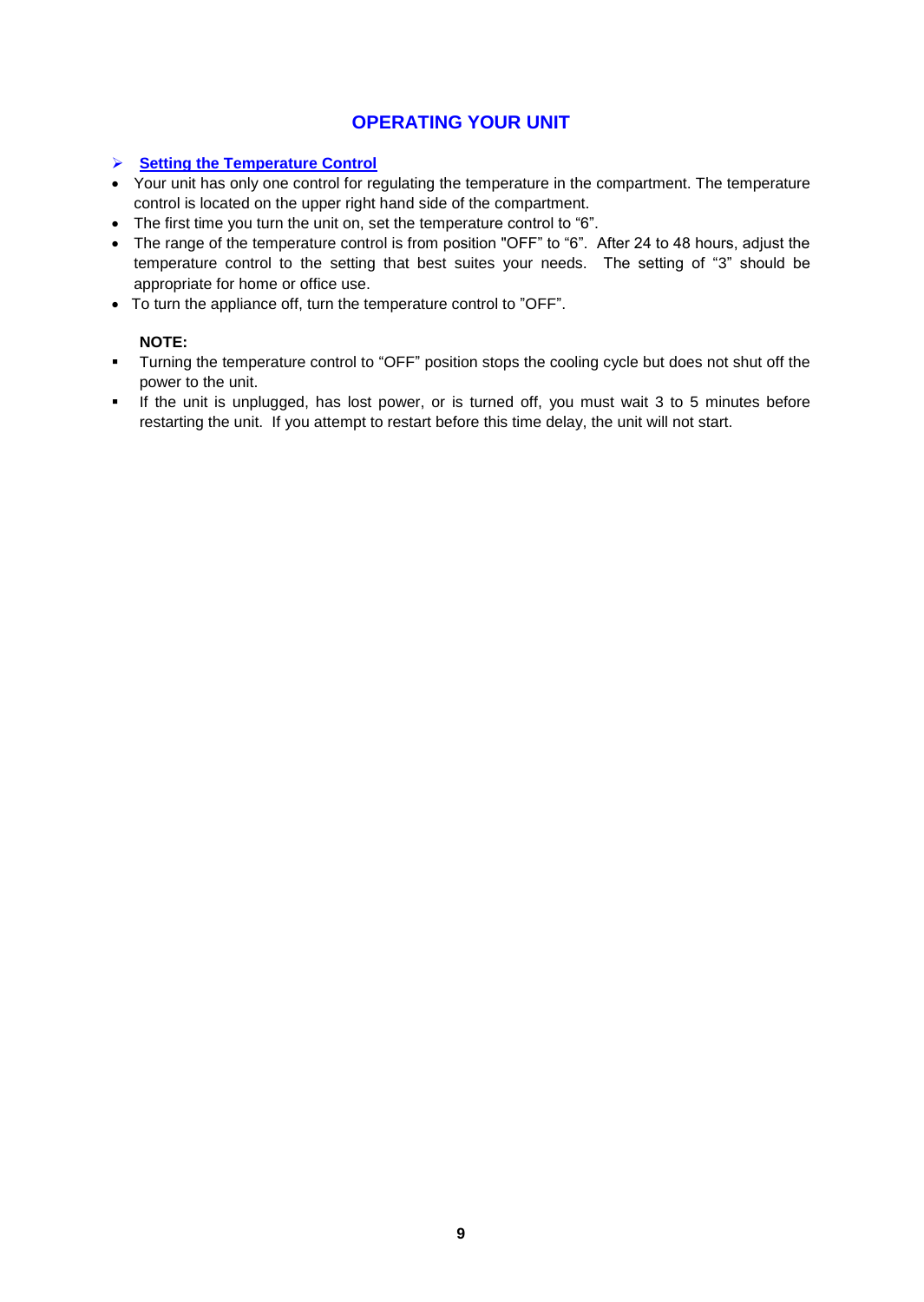# **OPERATING YOUR UNIT**

## **Setting the Temperature Control**

- Your unit has only one control for regulating the temperature in the compartment. The temperature control is located on the upper right hand side of the compartment.
- The first time you turn the unit on, set the temperature control to "6".
- The range of the temperature control is from position "OFF" to "6". After 24 to 48 hours, adjust the temperature control to the setting that best suites your needs. The setting of "3" should be appropriate for home or office use.
- To turn the appliance off, turn the temperature control to "OFF".

## **NOTE:**

- **Turning the temperature control to "OFF" position stops the cooling cycle but does not shut off the** power to the unit.
- If the unit is unplugged, has lost power, or is turned off, you must wait 3 to 5 minutes before restarting the unit. If you attempt to restart before this time delay, the unit will not start.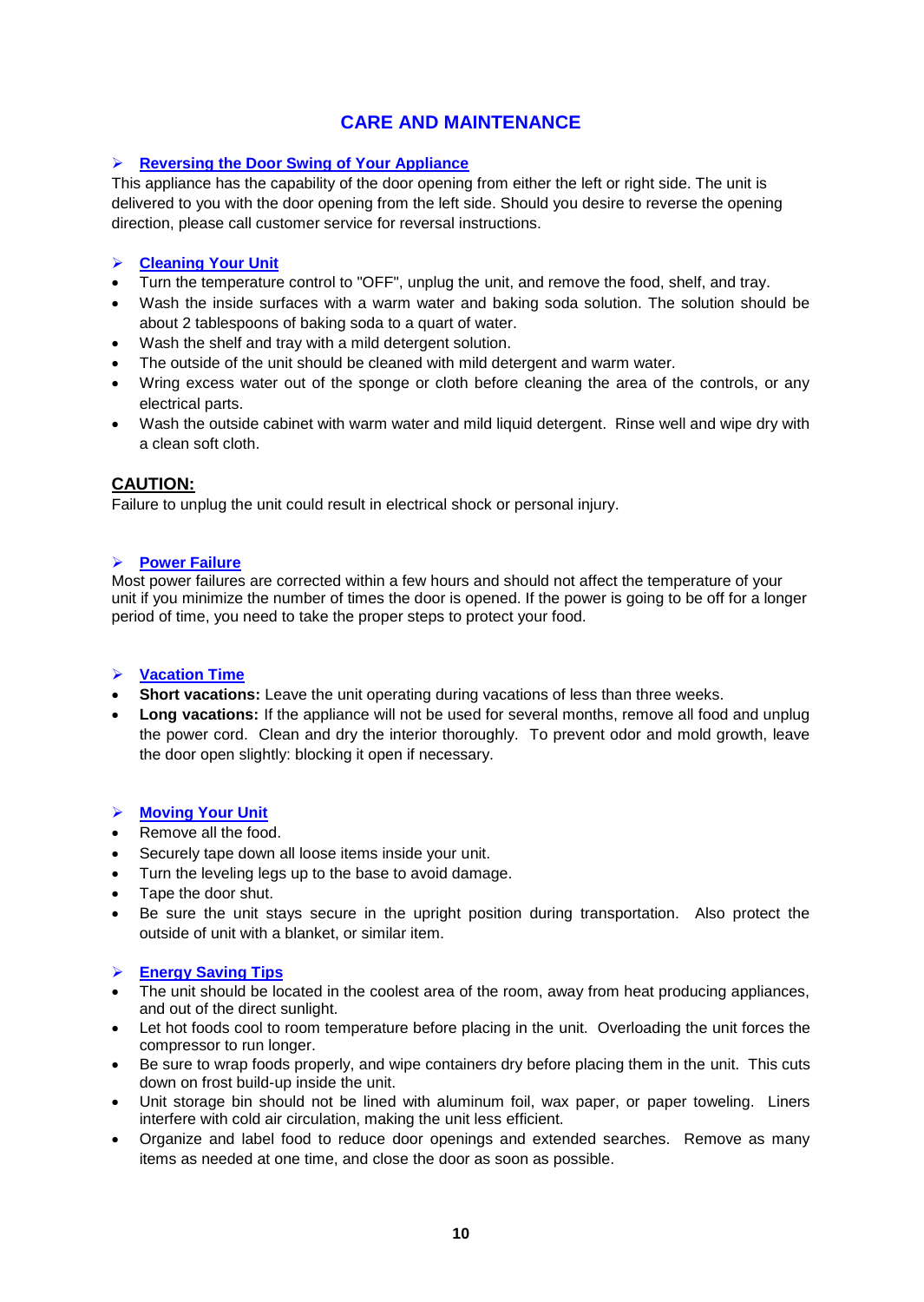# **CARE AND MAINTENANCE**

## **Reversing the Door Swing of Your Appliance**

This appliance has the capability of the door opening from either the left or right side. The unit is delivered to you with the door opening from the left side. Should you desire to reverse the opening direction, please call customer service for reversal instructions.

## **Cleaning Your Unit**

- Turn the temperature control to "OFF", unplug the unit, and remove the food, shelf, and tray.
- Wash the inside surfaces with a warm water and baking soda solution. The solution should be about 2 tablespoons of baking soda to a quart of water.
- Wash the shelf and tray with a mild detergent solution.
- The outside of the unit should be cleaned with mild detergent and warm water.
- Wring excess water out of the sponge or cloth before cleaning the area of the controls, or any electrical parts.
- Wash the outside cabinet with warm water and mild liquid detergent. Rinse well and wipe dry with a clean soft cloth.

## **CAUTION:**

Failure to unplug the unit could result in electrical shock or personal injury.

### **Power Failure**

Most power failures are corrected within a few hours and should not affect the temperature of your unit if you minimize the number of times the door is opened. If the power is going to be off for a longer period of time, you need to take the proper steps to protect your food.

### **Vacation Time**

- **Short vacations:** Leave the unit operating during vacations of less than three weeks.
- Long vacations: If the appliance will not be used for several months, remove all food and unplug the power cord. Clean and dry the interior thoroughly. To prevent odor and mold growth, leave the door open slightly: blocking it open if necessary.

### **Moving Your Unit**

- Remove all the food.
- Securely tape down all loose items inside your unit.
- Turn the leveling legs up to the base to avoid damage.
- Tape the door shut.
- Be sure the unit stays secure in the upright position during transportation. Also protect the outside of unit with a blanket, or similar item.

### **Energy Saving Tips**

- The unit should be located in the coolest area of the room, away from heat producing appliances, and out of the direct sunlight.
- Let hot foods cool to room temperature before placing in the unit. Overloading the unit forces the compressor to run longer.
- Be sure to wrap foods properly, and wipe containers dry before placing them in the unit. This cuts down on frost build-up inside the unit.
- Unit storage bin should not be lined with aluminum foil, wax paper, or paper toweling. Liners interfere with cold air circulation, making the unit less efficient.
- Organize and label food to reduce door openings and extended searches. Remove as many items as needed at one time, and close the door as soon as possible.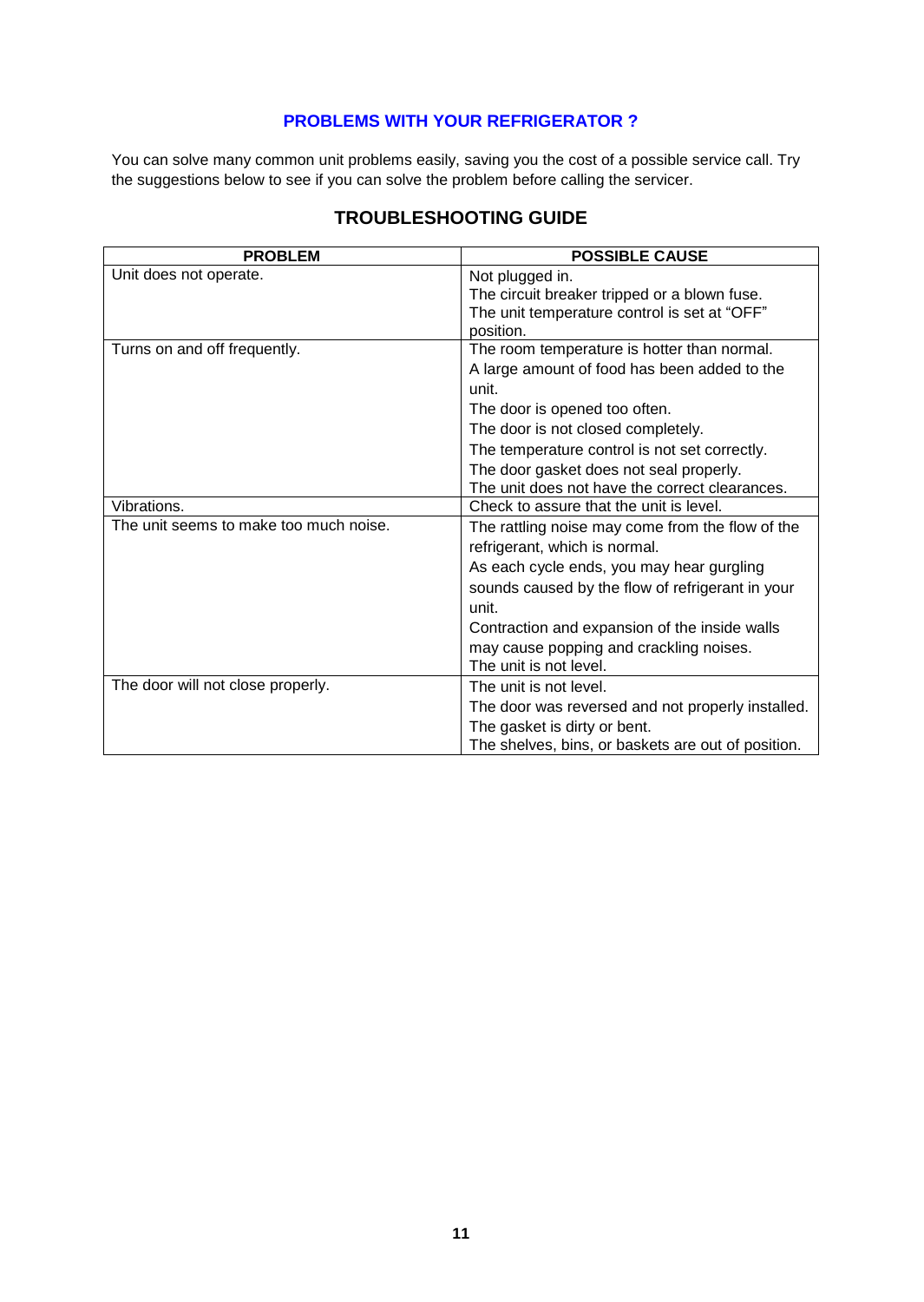## **PROBLEMS WITH YOUR REFRIGERATOR ?**

You can solve many common unit problems easily, saving you the cost of a possible service call. Try the suggestions below to see if you can solve the problem before calling the servicer.

| <b>PROBLEM</b>                         | <b>POSSIBLE CAUSE</b>                              |
|----------------------------------------|----------------------------------------------------|
| Unit does not operate.                 | Not plugged in.                                    |
|                                        | The circuit breaker tripped or a blown fuse.       |
|                                        | The unit temperature control is set at "OFF"       |
|                                        | position.                                          |
| Turns on and off frequently.           | The room temperature is hotter than normal.        |
|                                        | A large amount of food has been added to the       |
|                                        | unit.                                              |
|                                        | The door is opened too often.                      |
|                                        | The door is not closed completely.                 |
|                                        | The temperature control is not set correctly.      |
|                                        | The door gasket does not seal properly.            |
|                                        | The unit does not have the correct clearances.     |
| Vibrations.                            | Check to assure that the unit is level.            |
| The unit seems to make too much noise. | The rattling noise may come from the flow of the   |
|                                        | refrigerant, which is normal.                      |
|                                        | As each cycle ends, you may hear gurgling          |
|                                        | sounds caused by the flow of refrigerant in your   |
|                                        | unit.                                              |
|                                        | Contraction and expansion of the inside walls      |
|                                        | may cause popping and crackling noises.            |
|                                        | The unit is not level.                             |
| The door will not close properly.      | The unit is not level.                             |
|                                        | The door was reversed and not properly installed.  |
|                                        | The gasket is dirty or bent.                       |
|                                        | The shelves, bins, or baskets are out of position. |

# **TROUBLESHOOTING GUIDE**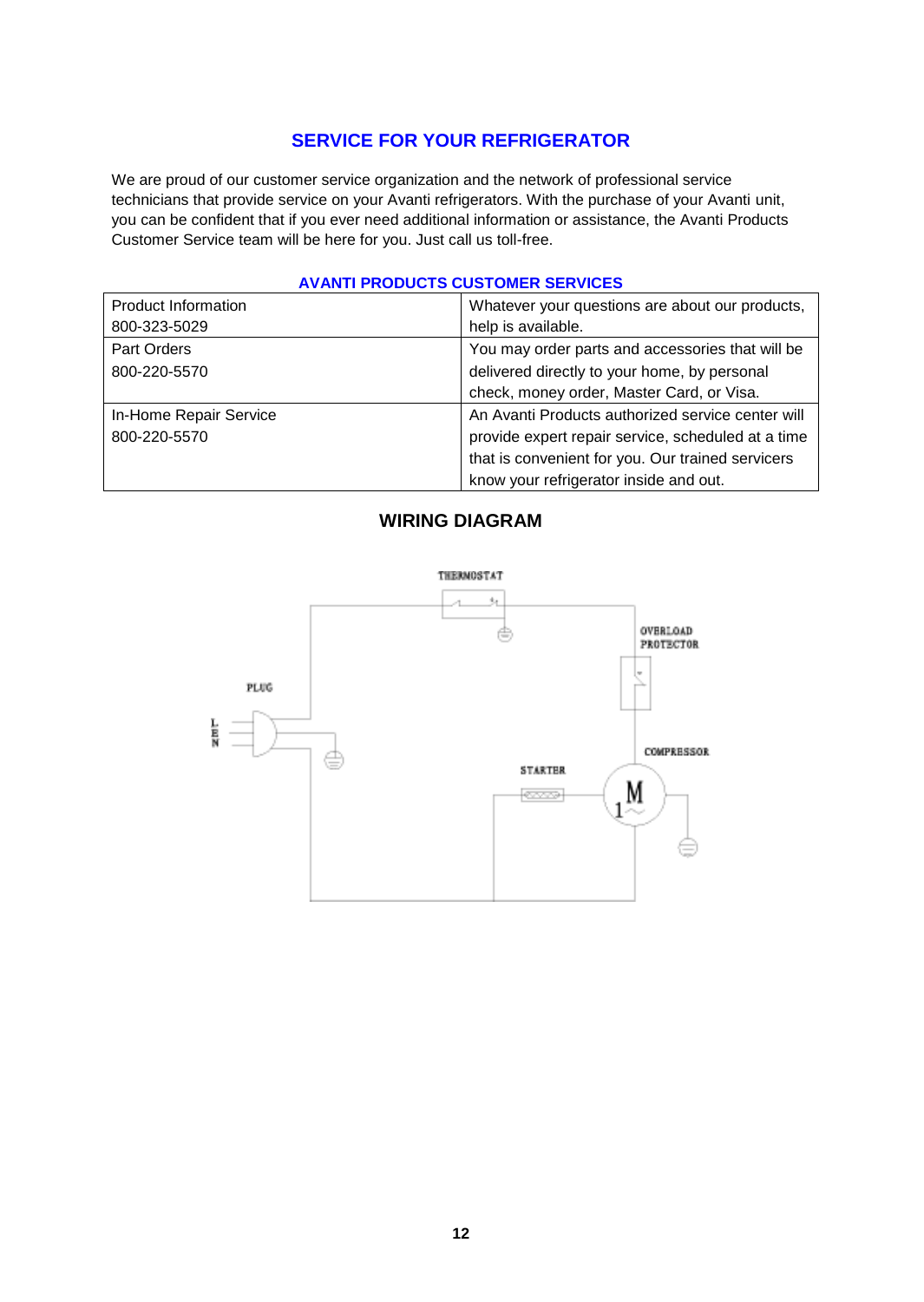# **SERVICE FOR YOUR REFRIGERATOR**

We are proud of our customer service organization and the network of professional service technicians that provide service on your Avanti refrigerators. With the purchase of your Avanti unit, you can be confident that if you ever need additional information or assistance, the Avanti Products Customer Service team will be here for you. Just call us toll-free.

### **AVANTI PRODUCTS CUSTOMER SERVICES**

| <b>Product Information</b> | Whatever your questions are about our products,    |
|----------------------------|----------------------------------------------------|
| 800-323-5029               | help is available.                                 |
| Part Orders                | You may order parts and accessories that will be   |
| 800-220-5570               | delivered directly to your home, by personal       |
|                            | check, money order, Master Card, or Visa.          |
| In-Home Repair Service     | An Avanti Products authorized service center will  |
| 800-220-5570               | provide expert repair service, scheduled at a time |
|                            | that is convenient for you. Our trained servicers  |
|                            | know your refrigerator inside and out.             |

# **WIRING DIAGRAM**

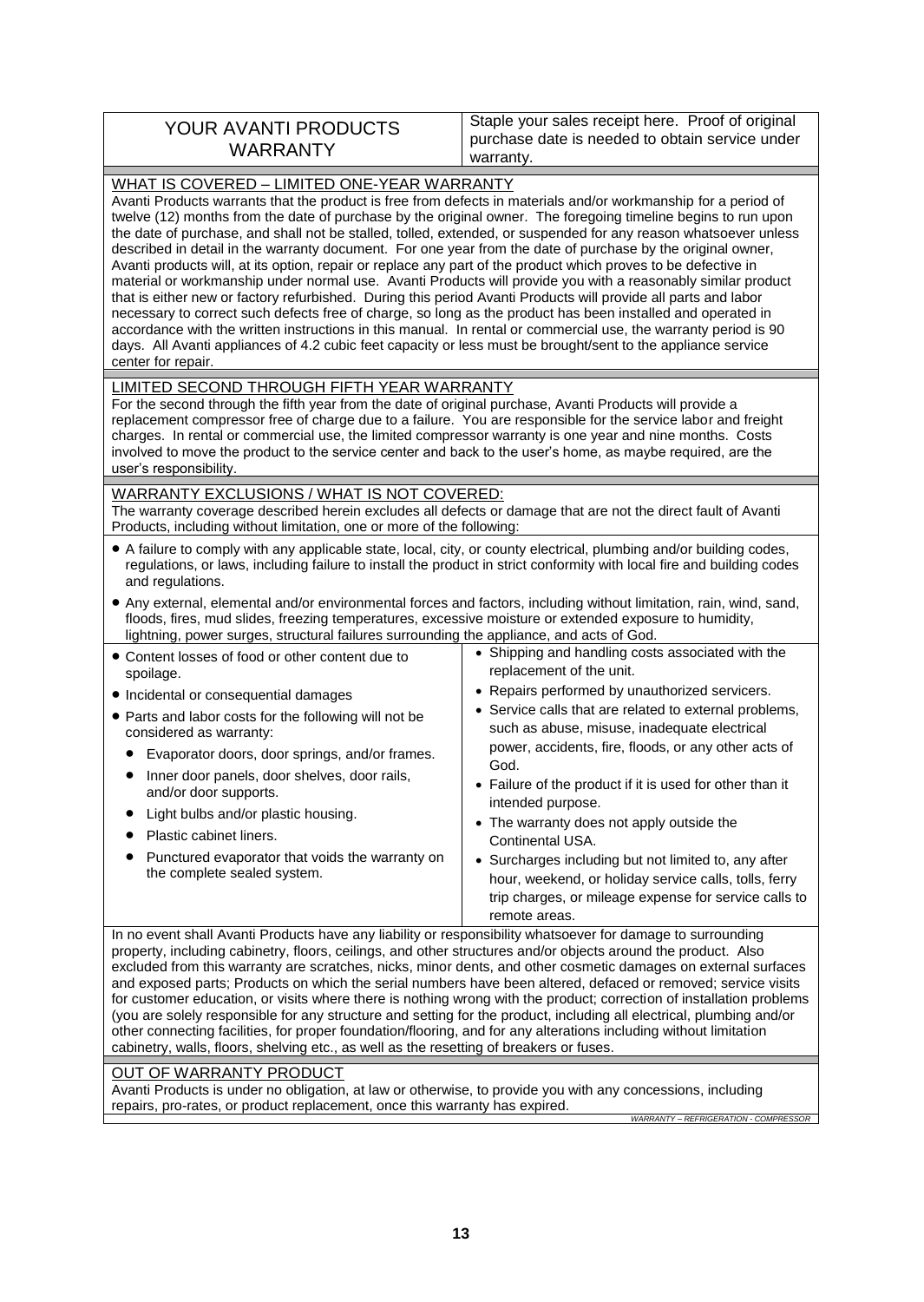| <b>YOUR AVANTI PRODUCTS</b><br>WARRANTY | Staple your sales receipt here. Proof of original<br>purchase date is needed to obtain service under<br>warranty. |
|-----------------------------------------|-------------------------------------------------------------------------------------------------------------------|
|-----------------------------------------|-------------------------------------------------------------------------------------------------------------------|

#### WHAT IS COVERED – LIMITED ONE-YEAR WARRANTY

Avanti Products warrants that the product is free from defects in materials and/or workmanship for a period of twelve (12) months from the date of purchase by the original owner. The foregoing timeline begins to run upon the date of purchase, and shall not be stalled, tolled, extended, or suspended for any reason whatsoever unless described in detail in the warranty document. For one year from the date of purchase by the original owner, Avanti products will, at its option, repair or replace any part of the product which proves to be defective in material or workmanship under normal use. Avanti Products will provide you with a reasonably similar product that is either new or factory refurbished. During this period Avanti Products will provide all parts and labor necessary to correct such defects free of charge, so long as the product has been installed and operated in accordance with the written instructions in this manual. In rental or commercial use, the warranty period is 90 days. All Avanti appliances of 4.2 cubic feet capacity or less must be brought/sent to the appliance service center for repair.

#### LIMITED SECOND THROUGH FIFTH YEAR WARRANTY

For the second through the fifth year from the date of original purchase, Avanti Products will provide a replacement compressor free of charge due to a failure. You are responsible for the service labor and freight charges. In rental or commercial use, the limited compressor warranty is one year and nine months. Costs involved to move the product to the service center and back to the user's home, as maybe required, are the user's responsibility.

## WARRANTY EXCLUSIONS / WHAT IS NOT COVERED:

The warranty coverage described herein excludes all defects or damage that are not the direct fault of Avanti Products, including without limitation, one or more of the following:

- A failure to comply with any applicable state, local, city, or county electrical, plumbing and/or building codes, regulations, or laws, including failure to install the product in strict conformity with local fire and building codes and regulations.
- Any external, elemental and/or environmental forces and factors, including without limitation, rain, wind, sand, floods, fires, mud slides, freezing temperatures, excessive moisture or extended exposure to humidity, lightning, power surges, structural failures surrounding the appliance, and acts of God.

| • Content losses of food or other content due to<br>spoilage.<br>• Incidental or consequential damages<br>• Parts and labor costs for the following will not be<br>considered as warranty:<br>Evaporator doors, door springs, and/or frames.<br>Inner door panels, door shelves, door rails,<br>and/or door supports.<br>Light bulbs and/or plastic housing.<br>Plastic cabinet liners.<br>Punctured evaporator that voids the warranty on<br>the complete sealed system. | • Shipping and handling costs associated with the<br>replacement of the unit.<br>• Repairs performed by unauthorized servicers.<br>• Service calls that are related to external problems,<br>such as abuse, misuse, inadequate electrical<br>power, accidents, fire, floods, or any other acts of<br>God.<br>• Failure of the product if it is used for other than it<br>intended purpose.<br>• The warranty does not apply outside the<br>Continental USA.<br>• Surcharges including but not limited to, any after<br>hour, weekend, or holiday service calls, tolls, ferry<br>trip charges, or mileage expense for service calls to<br>remote areas. |
|---------------------------------------------------------------------------------------------------------------------------------------------------------------------------------------------------------------------------------------------------------------------------------------------------------------------------------------------------------------------------------------------------------------------------------------------------------------------------|--------------------------------------------------------------------------------------------------------------------------------------------------------------------------------------------------------------------------------------------------------------------------------------------------------------------------------------------------------------------------------------------------------------------------------------------------------------------------------------------------------------------------------------------------------------------------------------------------------------------------------------------------------|
|                                                                                                                                                                                                                                                                                                                                                                                                                                                                           |                                                                                                                                                                                                                                                                                                                                                                                                                                                                                                                                                                                                                                                        |

In no event shall Avanti Products have any liability or responsibility whatsoever for damage to surrounding property, including cabinetry, floors, ceilings, and other structures and/or objects around the product. Also excluded from this warranty are scratches, nicks, minor dents, and other cosmetic damages on external surfaces and exposed parts; Products on which the serial numbers have been altered, defaced or removed; service visits for customer education, or visits where there is nothing wrong with the product; correction of installation problems (you are solely responsible for any structure and setting for the product, including all electrical, plumbing and/or other connecting facilities, for proper foundation/flooring, and for any alterations including without limitation cabinetry, walls, floors, shelving etc., as well as the resetting of breakers or fuses.

### OUT OF WARRANTY PRODUCT

Avanti Products is under no obligation, at law or otherwise, to provide you with any concessions, including repairs, pro-rates, or product replacement, once this warranty has expired.

*WARRANTY – REFRIGERATION - COMPRESSOR*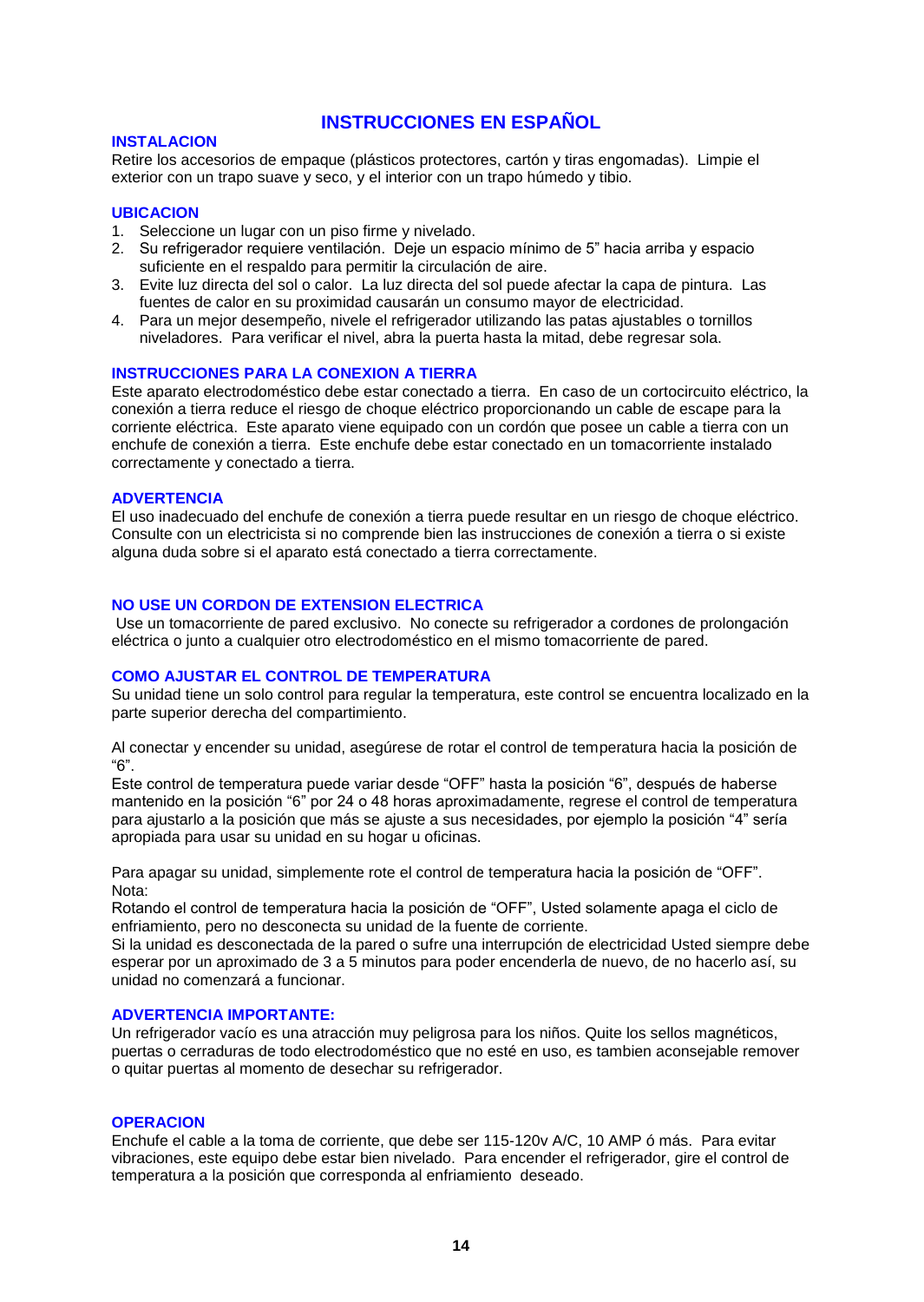## **INSTRUCCIONES EN ESPAÑOL**

#### **INSTALACION**

Retire los accesorios de empaque (plásticos protectores, cartón y tiras engomadas). Limpie el exterior con un trapo suave y seco, y el interior con un trapo húmedo y tibio.

#### **UBICACION**

- 1. Seleccione un lugar con un piso firme y nivelado.
- 2. Su refrigerador requiere ventilación. Deje un espacio mínimo de 5" hacia arriba y espacio suficiente en el respaldo para permitir la circulación de aire.
- 3. Evite luz directa del sol o calor. La luz directa del sol puede afectar la capa de pintura. Las fuentes de calor en su proximidad causarán un consumo mayor de electricidad.
- 4. Para un mejor desempeño, nivele el refrigerador utilizando las patas ajustables o tornillos niveladores. Para verificar el nivel, abra la puerta hasta la mitad, debe regresar sola.

#### **INSTRUCCIONES PARA LA CONEXION A TIERRA**

Este aparato electrodoméstico debe estar conectado a tierra. En caso de un cortocircuito eléctrico, la conexión a tierra reduce el riesgo de choque eléctrico proporcionando un cable de escape para la corriente eléctrica. Este aparato viene equipado con un cordón que posee un cable a tierra con un enchufe de conexión a tierra. Este enchufe debe estar conectado en un tomacorriente instalado correctamente y conectado a tierra.

#### **ADVERTENCIA**

El uso inadecuado del enchufe de conexión a tierra puede resultar en un riesgo de choque eléctrico. Consulte con un electricista si no comprende bien las instrucciones de conexión a tierra o si existe alguna duda sobre si el aparato está conectado a tierra correctamente.

#### **NO USE UN CORDON DE EXTENSION ELECTRICA**

Use un tomacorriente de pared exclusivo. No conecte su refrigerador a cordones de prolongación eléctrica o junto a cualquier otro electrodoméstico en el mismo tomacorriente de pared.

#### **COMO AJUSTAR EL CONTROL DE TEMPERATURA**

Su unidad tiene un solo control para regular la temperatura, este control se encuentra localizado en la parte superior derecha del compartimiento.

Al conectar y encender su unidad, asegúrese de rotar el control de temperatura hacia la posición de "6".

Este control de temperatura puede variar desde "OFF" hasta la posición "6", después de haberse mantenido en la posición "6" por 24 o 48 horas aproximadamente, regrese el control de temperatura para ajustarlo a la posición que más se ajuste a sus necesidades, por ejemplo la posición "4" sería apropiada para usar su unidad en su hogar u oficinas.

Para apagar su unidad, simplemente rote el control de temperatura hacia la posición de "OFF". Nota:

Rotando el control de temperatura hacia la posición de "OFF", Usted solamente apaga el ciclo de enfriamiento, pero no desconecta su unidad de la fuente de corriente.

Si la unidad es desconectada de la pared o sufre una interrupción de electricidad Usted siempre debe esperar por un aproximado de 3 a 5 minutos para poder encenderla de nuevo, de no hacerlo así, su unidad no comenzará a funcionar.

#### **ADVERTENCIA IMPORTANTE:**

Un refrigerador vacío es una atracción muy peligrosa para los niños. Quite los sellos magnéticos, puertas o cerraduras de todo electrodoméstico que no esté en uso, es tambien aconsejable remover o quitar puertas al momento de desechar su refrigerador.

#### **OPERACION**

Enchufe el cable a la toma de corriente, que debe ser 115-120v A/C, 10 AMP ó más. Para evitar vibraciones, este equipo debe estar bien nivelado. Para encender el refrigerador, gire el control de temperatura a la posición que corresponda al enfriamiento deseado.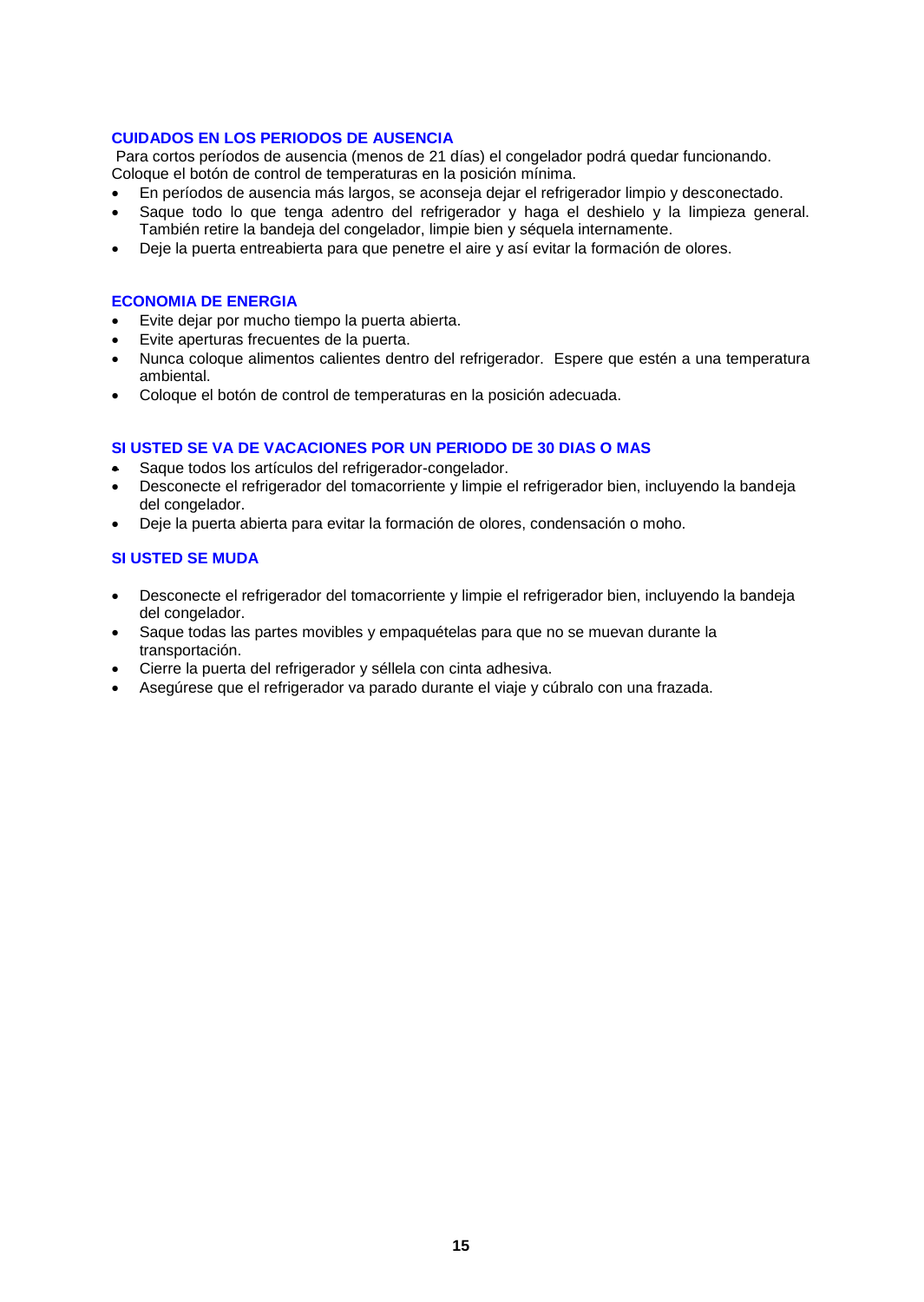### **CUIDADOS EN LOS PERIODOS DE AUSENCIA**

Para cortos períodos de ausencia (menos de 21 días) el congelador podrá quedar funcionando. Coloque el botón de control de temperaturas en la posición mínima.

- En períodos de ausencia más largos, se aconseja dejar el refrigerador limpio y desconectado.
- Saque todo lo que tenga adentro del refrigerador y haga el deshielo y la limpieza general. También retire la bandeja del congelador, limpie bien y séquela internamente.
- Deje la puerta entreabierta para que penetre el aire y así evitar la formación de olores.

#### **ECONOMIA DE ENERGIA**

- Evite dejar por mucho tiempo la puerta abierta.
- Evite aperturas frecuentes de la puerta.
- Nunca coloque alimentos calientes dentro del refrigerador. Espere que estén a una temperatura ambiental.
- Coloque el botón de control de temperaturas en la posición adecuada.

#### **SI USTED SE VA DE VACACIONES POR UN PERIODO DE 30 DIAS O MAS**

- Saque todos los artículos del refrigerador-congelador.
- Desconecte el refrigerador del tomacorriente y limpie el refrigerador bien, incluyendo la bandeja del congelador.
- Deje la puerta abierta para evitar la formación de olores, condensación o moho.

#### **SI USTED SE MUDA**

- Desconecte el refrigerador del tomacorriente y limpie el refrigerador bien, incluyendo la bandeja del congelador.
- Saque todas las partes movibles y empaquételas para que no se muevan durante la transportación.
- Cierre la puerta del refrigerador y séllela con cinta adhesiva.
- Asegúrese que el refrigerador va parado durante el viaje y cúbralo con una frazada.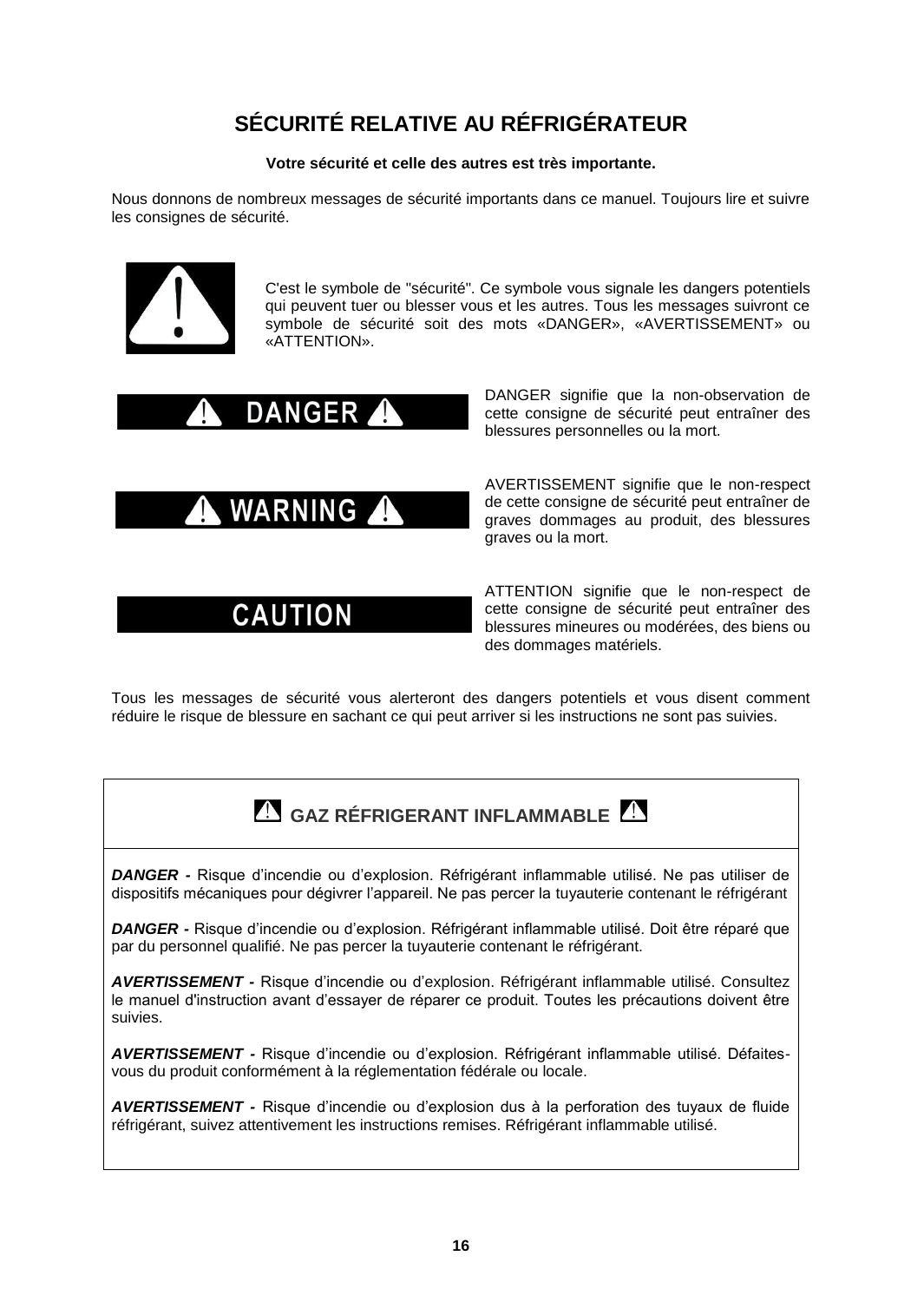# **SÉCURITÉ RELATIVE AU RÉFRIGÉRATEUR**

#### **Votre sécurité et celle des autres est très importante.**

Nous donnons de nombreux messages de sécurité importants dans ce manuel. Toujours lire et suivre les consignes de sécurité.



C'est le symbole de "sécurité". Ce symbole vous signale les dangers potentiels qui peuvent tuer ou blesser vous et les autres. Tous les messages suivront ce symbole de sécurité soit des mots «DANGER», «AVERTISSEMENT» ou «ATTENTION».



**WARNING** 

# **CAUTION**

DANGER signifie que la non-observation de cette consigne de sécurité peut entraîner des blessures personnelles ou la mort.

AVERTISSEMENT signifie que le non-respect de cette consigne de sécurité peut entraîner de graves dommages au produit, des blessures graves ou la mort.

ATTENTION signifie que le non-respect de cette consigne de sécurité peut entraîner des blessures mineures ou modérées, des biens ou des dommages matériels.

Tous les messages de sécurité vous alerteront des dangers potentiels et vous disent comment réduire le risque de blessure en sachant ce qui peut arriver si les instructions ne sont pas suivies.

# **GAZ RÉFRIGERANT INFLAMMABLE**

*DANGER -* Risque d'incendie ou d'explosion. Réfrigérant inflammable utilisé. Ne pas utiliser de dispositifs mécaniques pour dégivrer l'appareil. Ne pas percer la tuyauterie contenant le réfrigérant

*DANGER -* Risque d'incendie ou d'explosion. Réfrigérant inflammable utilisé. Doit être réparé que par du personnel qualifié. Ne pas percer la tuyauterie contenant le réfrigérant.

*AVERTISSEMENT -* Risque d'incendie ou d'explosion. Réfrigérant inflammable utilisé. Consultez le manuel d'instruction avant d'essayer de réparer ce produit. Toutes les précautions doivent être suivies.

*AVERTISSEMENT -* Risque d'incendie ou d'explosion. Réfrigérant inflammable utilisé. Défaitesvous du produit conformément à la réglementation fédérale ou locale.

*AVERTISSEMENT -* Risque d'incendie ou d'explosion dus à la perforation des tuyaux de fluide réfrigérant, suivez attentivement les instructions remises. Réfrigérant inflammable utilisé.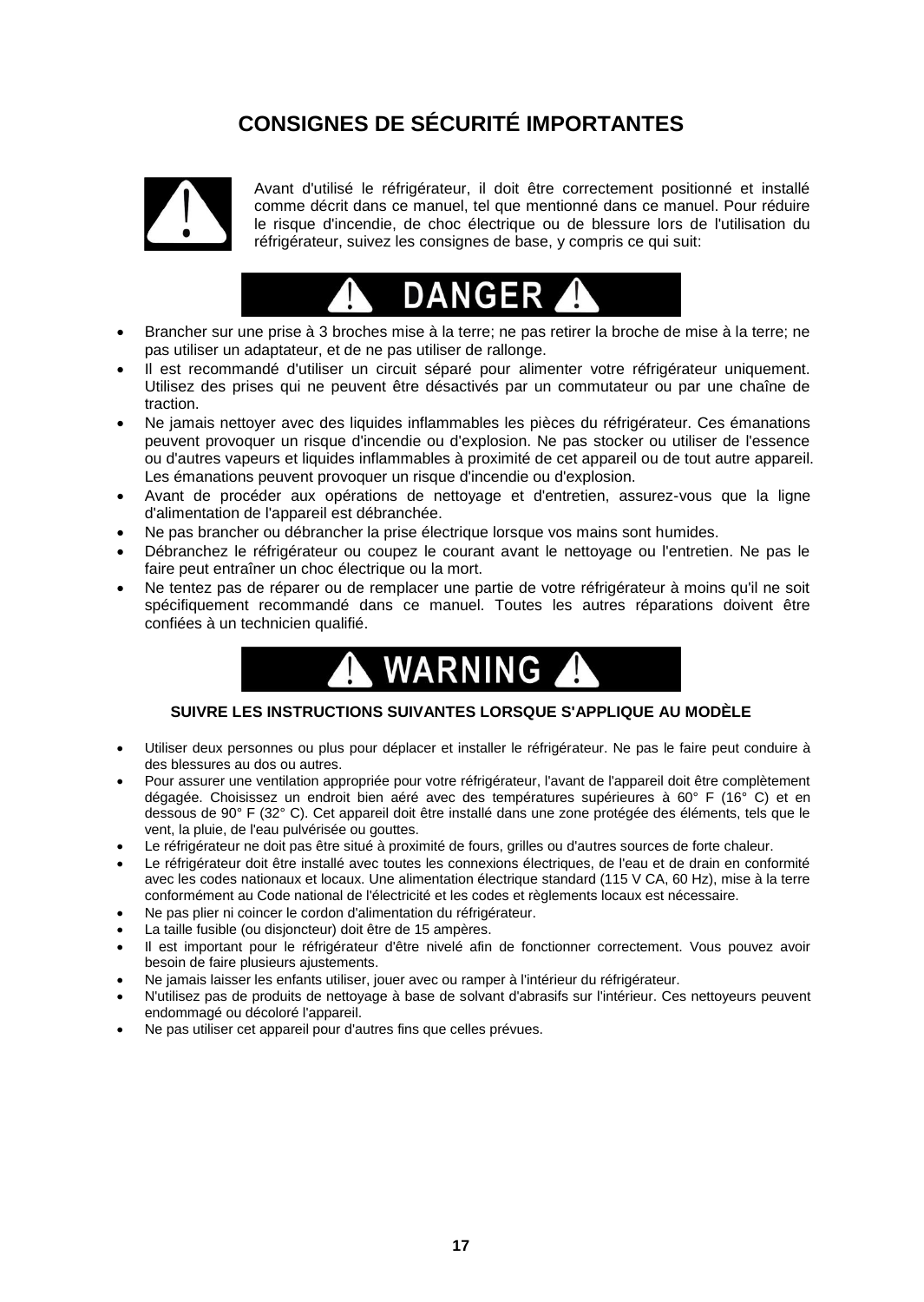# **CONSIGNES DE SÉCURITÉ IMPORTANTES**



Avant d'utilisé le réfrigérateur, il doit être correctement positionné et installé comme décrit dans ce manuel, tel que mentionné dans ce manuel. Pour réduire le risque d'incendie, de choc électrique ou de blessure lors de l'utilisation du réfrigérateur, suivez les consignes de base, y compris ce qui suit:



- Brancher sur une prise à 3 broches mise à la terre; ne pas retirer la broche de mise à la terre; ne pas utiliser un adaptateur, et de ne pas utiliser de rallonge.
- Il est recommandé d'utiliser un circuit séparé pour alimenter votre réfrigérateur uniquement. Utilisez des prises qui ne peuvent être désactivés par un commutateur ou par une chaîne de traction.
- Ne jamais nettoyer avec des liquides inflammables les pièces du réfrigérateur. Ces émanations peuvent provoquer un risque d'incendie ou d'explosion. Ne pas stocker ou utiliser de l'essence ou d'autres vapeurs et liquides inflammables à proximité de cet appareil ou de tout autre appareil. Les émanations peuvent provoquer un risque d'incendie ou d'explosion.
- Avant de procéder aux opérations de nettoyage et d'entretien, assurez-vous que la ligne d'alimentation de l'appareil est débranchée.
- Ne pas brancher ou débrancher la prise électrique lorsque vos mains sont humides.
- Débranchez le réfrigérateur ou coupez le courant avant le nettoyage ou l'entretien. Ne pas le faire peut entraîner un choc électrique ou la mort.
- Ne tentez pas de réparer ou de remplacer une partie de votre réfrigérateur à moins qu'il ne soit spécifiquement recommandé dans ce manuel. Toutes les autres réparations doivent être confiées à un technicien qualifié.



#### **SUIVRE LES INSTRUCTIONS SUIVANTES LORSQUE S'APPLIQUE AU MODÈLE**

- Utiliser deux personnes ou plus pour déplacer et installer le réfrigérateur. Ne pas le faire peut conduire à des blessures au dos ou autres.
- Pour assurer une ventilation appropriée pour votre réfrigérateur, l'avant de l'appareil doit être complètement dégagée. Choisissez un endroit bien aéré avec des températures supérieures à 60° F (16° C) et en dessous de 90° F (32° C). Cet appareil doit être installé dans une zone protégée des éléments, tels que le vent, la pluie, de l'eau pulvérisée ou gouttes.
- Le réfrigérateur ne doit pas être situé à proximité de fours, grilles ou d'autres sources de forte chaleur.
- Le réfrigérateur doit être installé avec toutes les connexions électriques, de l'eau et de drain en conformité avec les codes nationaux et locaux. Une alimentation électrique standard (115 V CA, 60 Hz), mise à la terre conformément au Code national de l'électricité et les codes et règlements locaux est nécessaire.
- Ne pas plier ni coincer le cordon d'alimentation du réfrigérateur.
- La taille fusible (ou disjoncteur) doit être de 15 ampères.
- Il est important pour le réfrigérateur d'être nivelé afin de fonctionner correctement. Vous pouvez avoir besoin de faire plusieurs ajustements.
- Ne jamais laisser les enfants utiliser, jouer avec ou ramper à l'intérieur du réfrigérateur.
- N'utilisez pas de produits de nettoyage à base de solvant d'abrasifs sur l'intérieur. Ces nettoyeurs peuvent endommagé ou décoloré l'appareil.
- Ne pas utiliser cet appareil pour d'autres fins que celles prévues.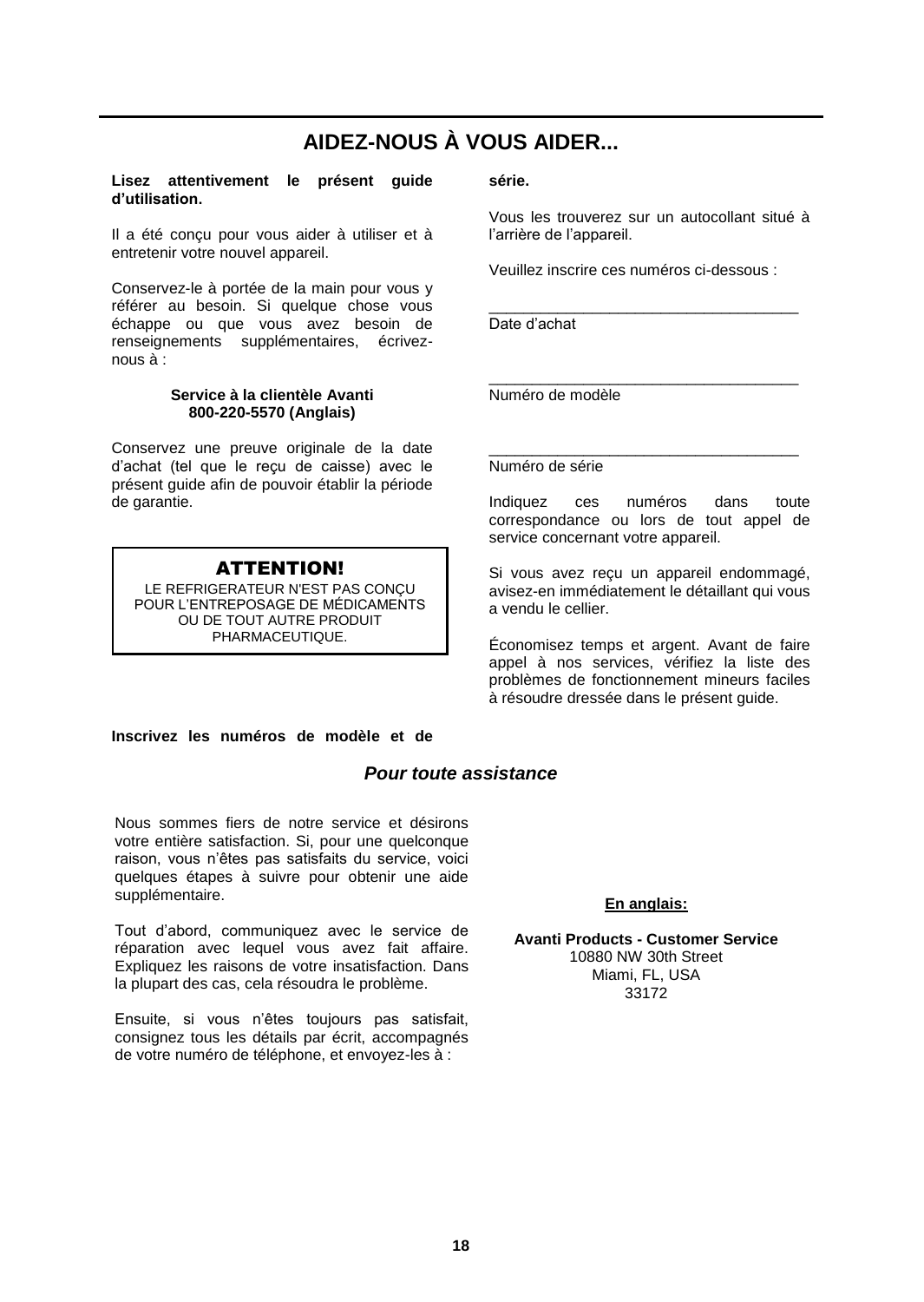# **AIDEZ-NOUS À VOUS AIDER...**

#### **Lisez attentivement le présent guide d'utilisation.**

Il a été conçu pour vous aider à utiliser et à entretenir votre nouvel appareil.

Conservez-le à portée de la main pour vous y référer au besoin. Si quelque chose vous échappe ou que vous avez besoin de renseignements supplémentaires, écriveznous à:

#### **Service à la clientèle Avanti 800-220-5570 (Anglais)**

Conservez une preuve originale de la date d'achat (tel que le reçu de caisse) avec le présent guide afin de pouvoir établir la période de garantie.

## ATTENTION!

LE REFRIGERATEUR N'EST PAS CONÇU POUR L'ENTREPOSAGE DE MÉDICAMENTS OU DE TOUT AUTRE PRODUIT PHARMACEUTIQUE.

#### **Inscrivez les numéros de modèle et de**

## *Pour toute assistance*

Nous sommes fiers de notre service et désirons votre entière satisfaction. Si, pour une quelconque raison, vous n'êtes pas satisfaits du service, voici quelques étapes à suivre pour obtenir une aide supplémentaire.

Tout d'abord, communiquez avec le service de réparation avec lequel vous avez fait affaire. Expliquez les raisons de votre insatisfaction. Dans la plupart des cas, cela résoudra le problème.

Ensuite, si vous n'êtes toujours pas satisfait, consignez tous les détails par écrit, accompagnés de votre numéro de téléphone, et envoyez-les à :

#### **série.**

Vous les trouverez sur un autocollant situé à l'arrière de l'appareil.

Veuillez inscrire ces numéros ci-dessous :

\_\_\_\_\_\_\_\_\_\_\_\_\_\_\_\_\_\_\_\_\_\_\_\_\_\_\_\_\_\_\_\_\_\_\_\_

Date d'achat

\_\_\_\_\_\_\_\_\_\_\_\_\_\_\_\_\_\_\_\_\_\_\_\_\_\_\_\_\_\_\_\_\_\_\_\_ Numéro de modèle

Numéro de série

Indiquez ces numéros dans toute correspondance ou lors de tout appel de service concernant votre appareil.

\_\_\_\_\_\_\_\_\_\_\_\_\_\_\_\_\_\_\_\_\_\_\_\_\_\_\_\_\_\_\_\_\_\_\_\_

Si vous avez reçu un appareil endommagé, avisez-en immédiatement le détaillant qui vous a vendu le cellier.

Économisez temps et argent. Avant de faire appel à nos services, vérifiez la liste des problèmes de fonctionnement mineurs faciles à résoudre dressée dans le présent guide.

### **En anglais:**

**Avanti Products - Customer Service** 10880 NW 30th Street Miami, FL, USA 33172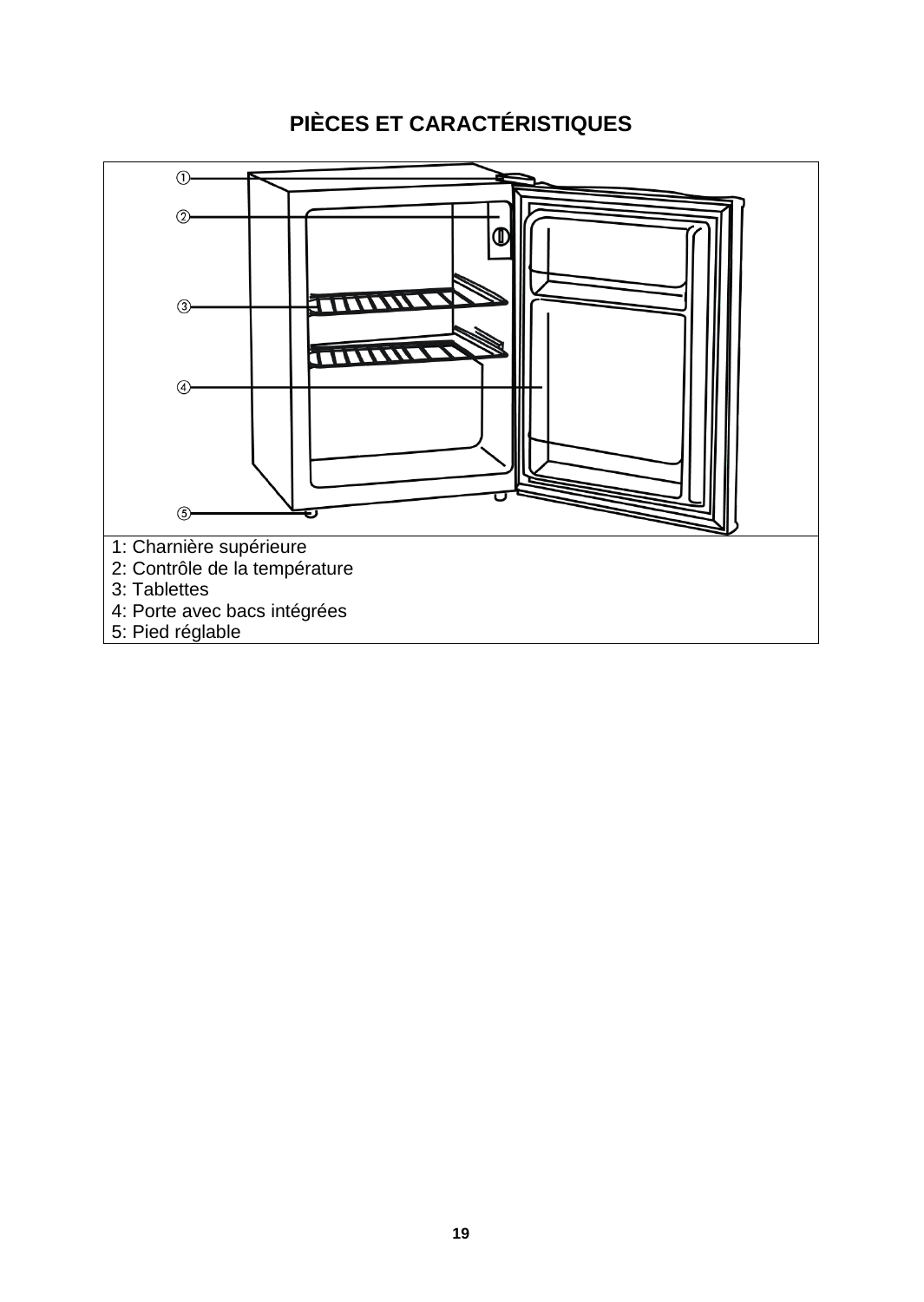# **PIÈCES ET CARACTÉRISTIQUES**

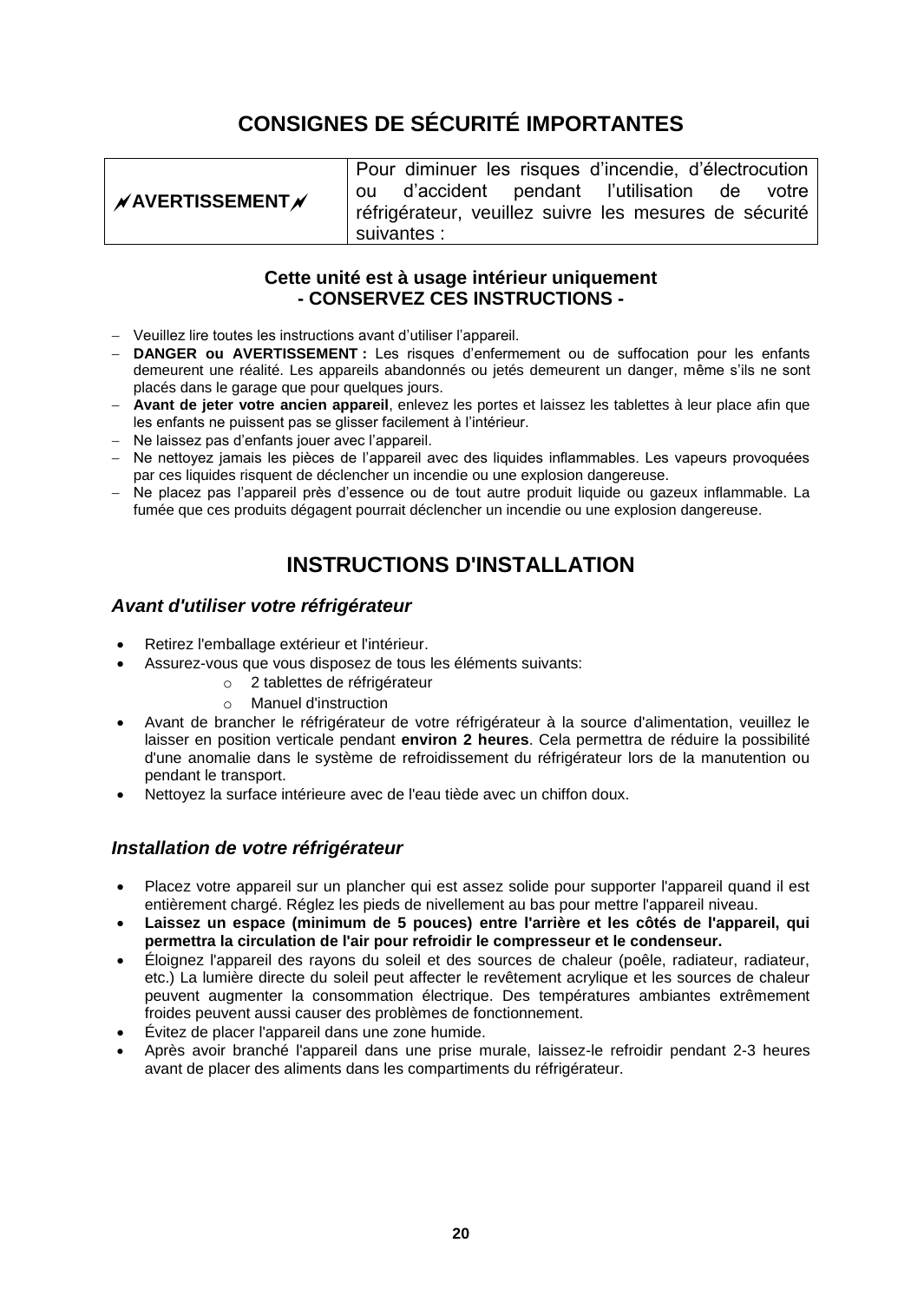# **CONSIGNES DE SÉCURITÉ IMPORTANTES**

|                         | Pour diminuer les risques d'incendie, d'électrocution  |  |
|-------------------------|--------------------------------------------------------|--|
| $\n  N AVERTISSEMENT N$ | ou d'accident pendant l'utilisation de votre           |  |
|                         | fefrigérateur, veuillez suivre les mesures de sécurité |  |
|                         | suivantes :                                            |  |

# **Cette unité est à usage intérieur uniquement - CONSERVEZ CES INSTRUCTIONS -**

- Veuillez lire toutes les instructions avant d'utiliser l'appareil.
- **DANGER ou AVERTISSEMENT :** Les risques d'enfermement ou de suffocation pour les enfants demeurent une réalité. Les appareils abandonnés ou jetés demeurent un danger, même s'ils ne sont placés dans le garage que pour quelques jours.
- **Avant de jeter votre ancien appareil**, enlevez les portes et laissez les tablettes à leur place afin que les enfants ne puissent pas se glisser facilement à l'intérieur.
- Ne laissez pas d'enfants jouer avec l'appareil.
- Ne nettoyez jamais les pièces de l'appareil avec des liquides inflammables. Les vapeurs provoquées par ces liquides risquent de déclencher un incendie ou une explosion dangereuse.
- Ne placez pas l'appareil près d'essence ou de tout autre produit liquide ou gazeux inflammable. La fumée que ces produits dégagent pourrait déclencher un incendie ou une explosion dangereuse.

# **INSTRUCTIONS D'INSTAL LATION**

## *Avant d'utiliser votre réfrigérateur*

- Retirez l'emballage extérieur et l'intérieur.
- Assurez-vous que vous disposez de tous les éléments suivants:
	- o 2 tablettes de réfrigérateur
	- o Manuel d'instruction
- Avant de brancher le réfrigérateur de votre réfrigérateur à la source d'alimentation, veuillez le laisser en position verticale pendant **environ 2 heures**. Cela permettra de réduire la possibilité d'une anomalie dans le système de refroidissement du réfrigérateur lors de la manutention ou pendant le transport.
- Nettoyez la surface intérieure avec de l'eau tiède avec un chiffon doux.

## *Installation de votre réfrigérateur*

- Placez votre appareil sur un plancher qui est assez solide pour supporter l'appareil quand il est entièrement chargé. Réglez les pieds de nivellement au bas pour mettre l'appareil niveau.
- **Laissez un espace (minimum de 5 pouces) entre l'arrière et les côtés de l'appareil, qui permettra la circulation de l'air pour refroidir le compresseur et le condenseur.**
- Éloignez l'appareil des rayons du soleil et des sources de chaleur (poêle, radiateur, radiateur, etc.) La lumière directe du soleil peut affecter le revêtement acrylique et les sources de chaleur peuvent augmenter la consommation électrique. Des températures ambiantes extrêmement froides peuvent aussi causer des problèmes de fonctionnement.
- Évitez de placer l'appareil dans une zone humide.
- Après avoir branché l'appareil dans une prise murale, laissez-le refroidir pendant 2-3 heures avant de placer des aliments dans les compartiments du réfrigérateur.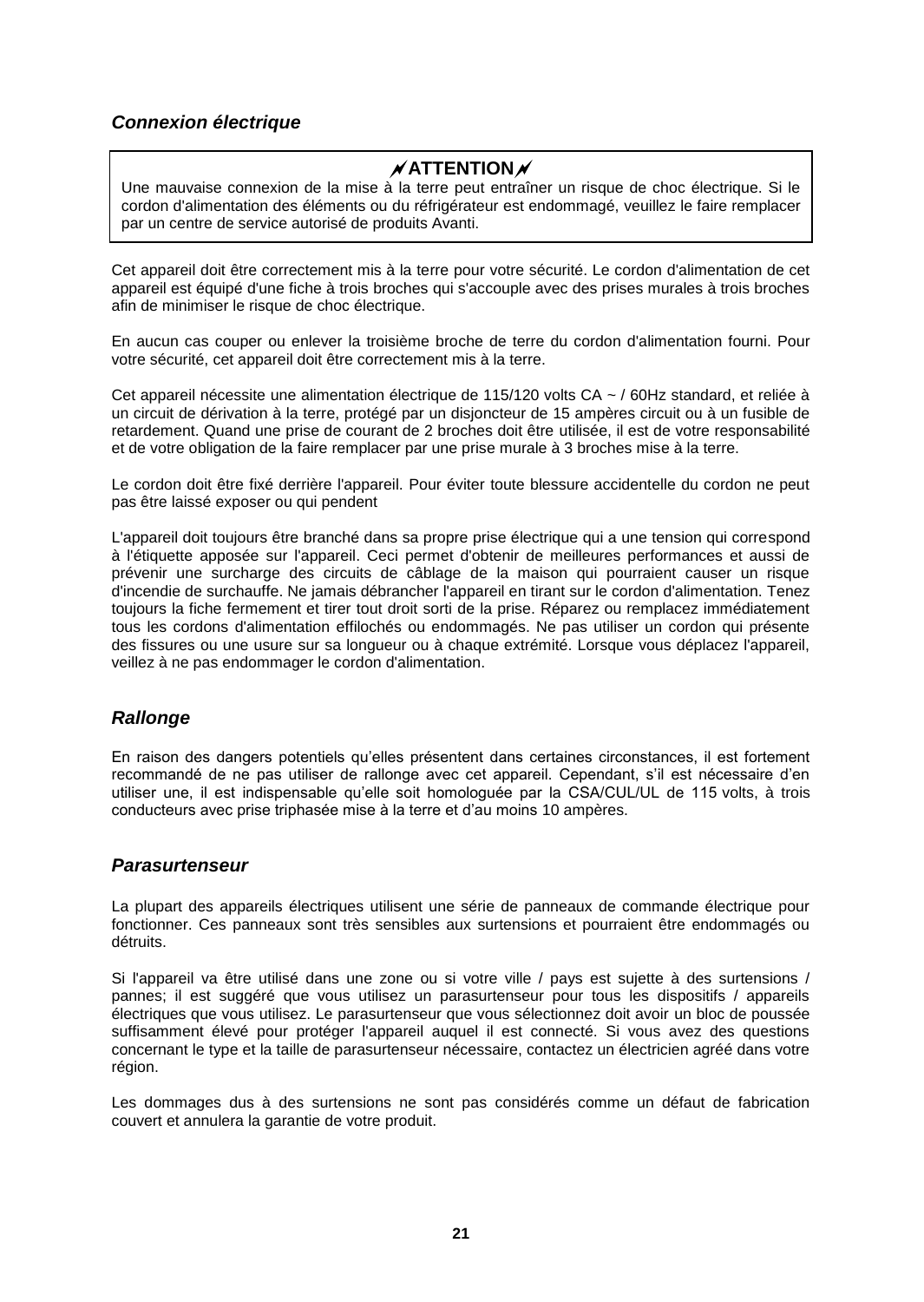# *Connexion électrique*

# **ATTENTION**

Une mauvaise connexion de la mise à la terre peut entraîner un risque de choc électrique. Si le cordon d'alimentation des éléments ou du réfrigérateur est endommagé, veuillez le faire remplacer par un centre de service autorisé de produits Avanti.

Cet appareil doit être correctement mis à la terre pour votre sécurité. Le cordon d'alimentation de cet appareil est équipé d'une fiche à trois broches qui s'accouple avec des prises murales à trois broches afin de minimiser le risque de choc électrique.

En aucun cas couper ou enlever la troisième broche de terre du cordon d'alimentation fourni. Pour votre sécurité, cet appareil doit être correctement mis à la terre.

Cet appareil nécessite une alimentation électrique de 115/120 volts CA ~ / 60Hz standard, et reliée à un circuit de dérivation à la terre, protégé par un disjoncteur de 15 ampères circuit ou à un fusible de retardement. Quand une prise de courant de 2 broches doit être utilisée, il est de votre responsabilité et de votre obligation de la faire remplacer par une prise murale à 3 broches mise à la terre.

Le cordon doit être fixé derrière l'appareil. Pour éviter toute blessure accidentelle du cordon ne peut pas être laissé exposer ou qui pendent

L'appareil doit toujours être branché dans sa propre prise électrique qui a une tension qui correspond à l'étiquette apposée sur l'appareil. Ceci permet d'obtenir de meilleures performances et aussi de prévenir une surcharge des circuits de câblage de la maison qui pourraient causer un risque d'incendie de surchauffe. Ne jamais débrancher l'appareil en tirant sur le cordon d'alimentation. Tenez toujours la fiche fermement et tirer tout droit sorti de la prise. Réparez ou remplacez immédiatement tous les cordons d'alimentation effilochés ou endommagés. Ne pas utiliser un cordon qui présente des fissures ou une usure sur sa longueur ou à chaque extrémité. Lorsque vous déplacez l'appareil, veillez à ne pas endommager le cordon d'alimentation.

## *Rallonge*

En raison des dangers potentiels qu'elles présentent dans certaines circonstances, il est fortement recommandé de ne pas utiliser de rallonge avec cet appareil. Cependant, s'il est nécessaire d'en utiliser une, il est indispensable qu'elle soit homologuée par la CSA/CUL/UL de 115 volts, à trois conducteurs avec prise triphasée mise à la terre et d'au moins 10 ampères.

## *Parasurtenseur*

La plupart des appareils électriques utilisent une série de panneaux de commande électrique pour fonctionner. Ces panneaux sont très sensibles aux surtensions et pourraient être endommagés ou détruits.

Si l'appareil va être utilisé dans une zone ou si votre ville / pays est sujette à des surtensions / pannes; il est suggéré que vous utilisez un parasurtenseur pour tous les dispositifs / appareils électriques que vous utilisez. Le parasurtenseur que vous sélectionnez doit avoir un bloc de poussée suffisamment élevé pour protéger l'appareil auquel il est connecté. Si vous avez des questions concernant le type et la taille de parasurtenseur nécessaire, contactez un électricien agréé dans votre région.

Les dommages dus à des surtensions ne sont pas considérés comme un défaut de fabrication couvert et annulera la garantie de votre produit.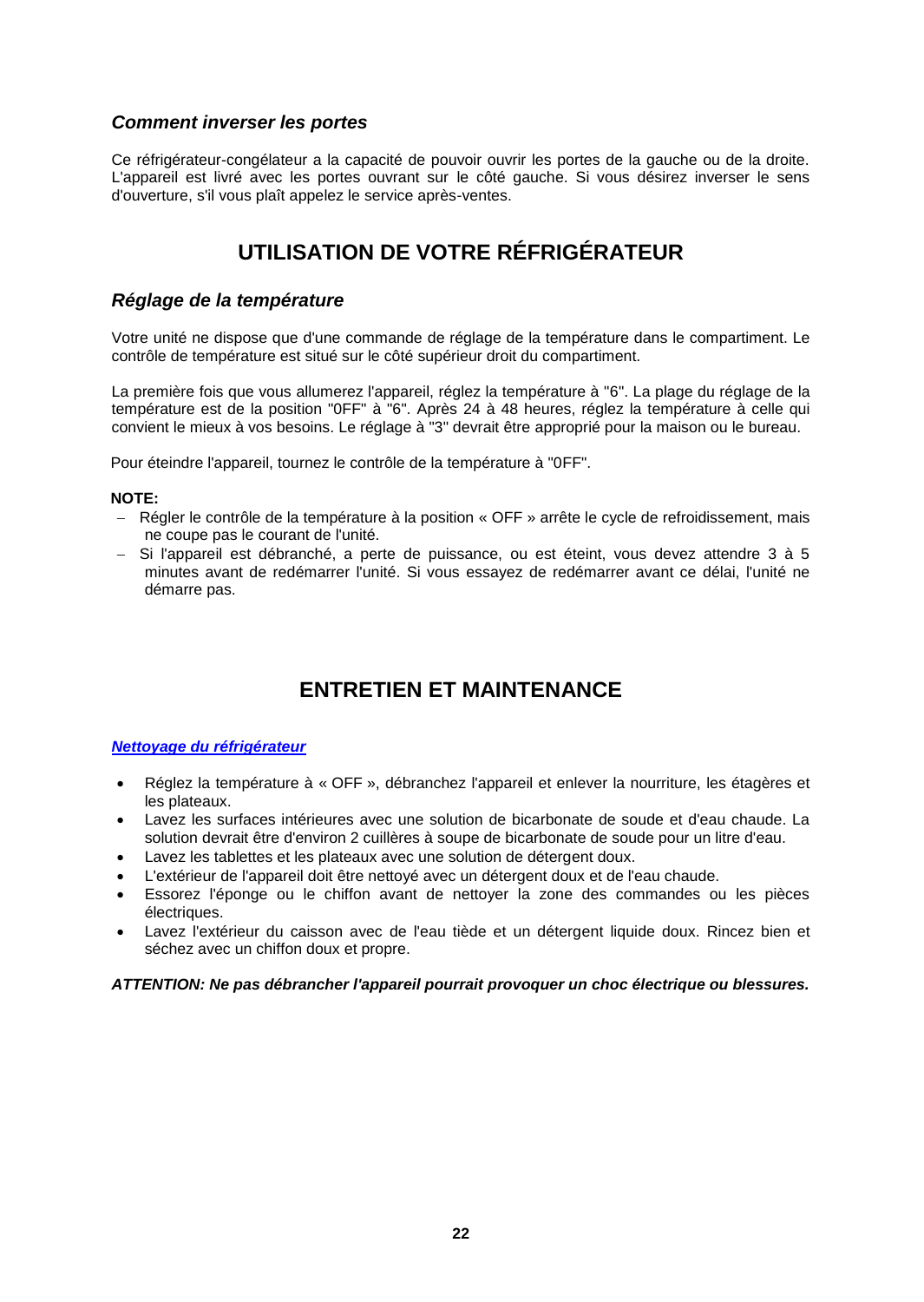## *Comment inverser les portes*

Ce réfrigérateur-congélateur a la capacité de pouvoir ouvrir les portes de la gauche ou de la droite. L'appareil est livré avec les portes ouvrant sur le côté gauche. Si vous désirez inverser le sens d'ouverture, s'il vous plaît appelez le service après-ventes.

# **UTILISATION DE VOTRE RÉFRIGÉRATEUR**

## *Réglage de la température*

Votre unité ne dispose que d'une commande de réglage de la température dans le compartiment. Le contrôle de température est situé sur le côté supérieur droit du compartiment.

La première fois que vous allumerez l'appareil, réglez la température à "6". La plage du réglage de la température est de la position "0FF" à "6". Après 24 à 48 heures, réglez la température à celle qui convient le mieux à vos besoins. Le réglage à "3" devrait être approprié pour la maison ou le bureau.

Pour éteindre l'appareil, tournez le contrôle de la température à "0FF".

#### **NOTE:**

- Régler le contrôle de la température à la position « OFF » arrête le cycle de refroidissement, mais ne coupe pas le courant de l'unité.
- Si l'appareil est débranché, a perte de puissance, ou est éteint, vous devez attendre 3 à 5 minutes avant de redémarrer l'unité. Si vous essayez de redémarrer avant ce délai, l'unité ne démarre pas.

# **ENTRETIEN ET MAINTENANCE**

#### *Nettoyage du réfrigérateur*

- Réglez la température à «OFF », débranchez l'appareil et enlever la nourriture, les étagères et les plateaux.
- Lavez les surfaces intérieures avec une solution de bicarbonate de soude et d'eau chaude. La solution devrait être d'environ 2 cuillères à soupe de bicarbonate de soude pour un litre d'eau.
- Lavez les tablettes et les plateaux avec une solution de détergent doux.
- L'extérieur de l'appareil doit être nettoyé avec un détergent doux et de l'eau chaude.
- Essorez l'éponge ou le chiffon avant de nettoyer la zone des commandes ou les pièces électriques.
- Lavez l'extérieur du caisson avec de l'eau tiède et un détergent liquide doux. Rincez bien et séchez avec un chiffon doux et propre.

#### *ATTENTION: Ne pas débrancher l'appareil pourrait provoquer un choc électrique ou blessures.*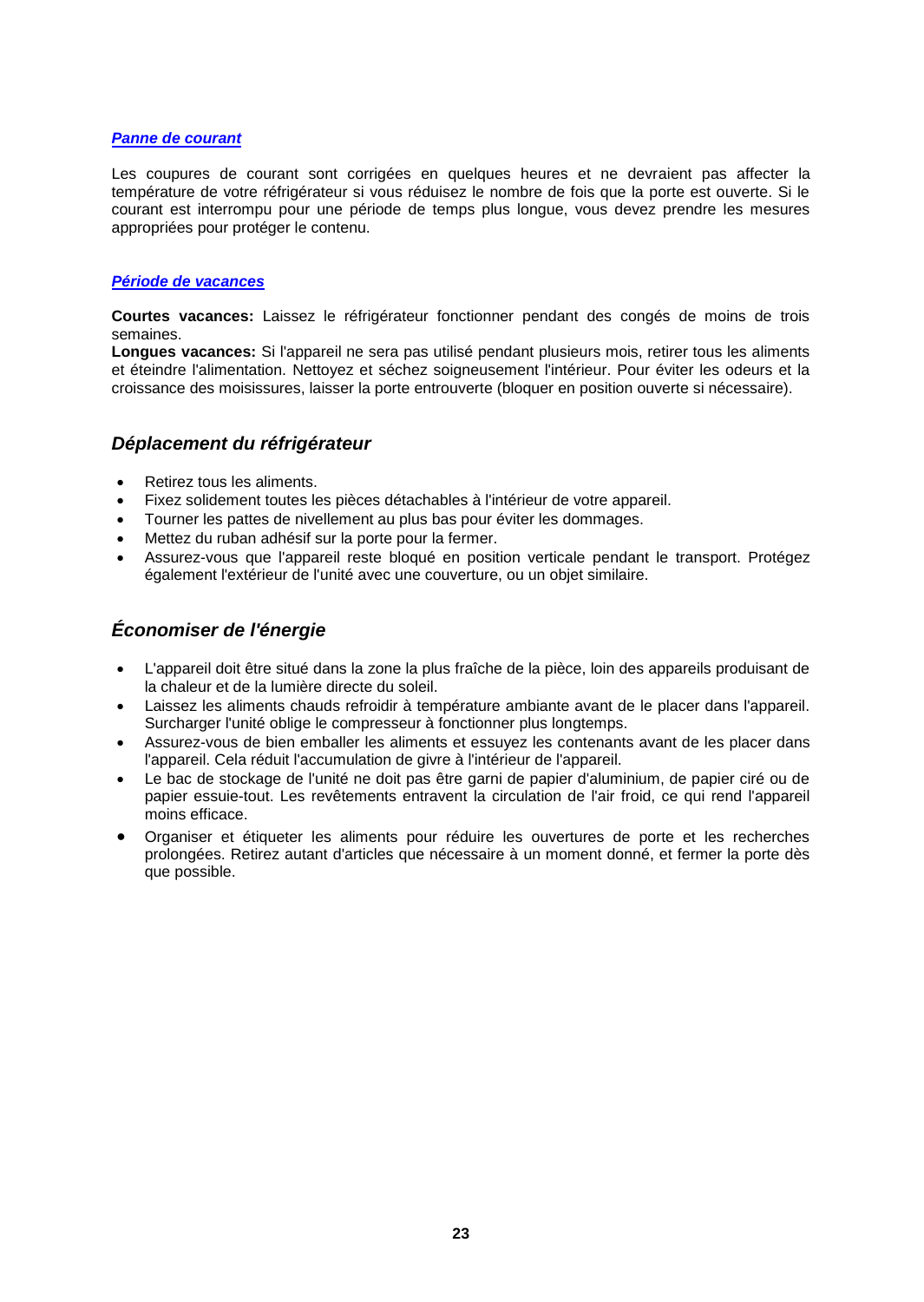#### *Panne de courant*

Les coupures de courant sont corrigées en quelques heures et ne devraient pas affecter la température de votre réfrigérateur si vous réduisez le nombre de fois que la porte est ouverte. Si le courant est interrompu pour une période de temps plus longue, vous devez prendre les mesures appropriées pour protéger le contenu.

#### *Période de vacances*

**Courtes vacances:** Laissez le réfrigérateur fonctionner pendant des congés de moins de trois semaines.

**Longues vacances:** Si l'appareil ne sera pas utilisé pendant plusieurs mois, retirer tous les aliments et éteindre l'alimentation. Nettoyez et séchez soigneusement l'intérieur. Pour éviter les odeurs et la croissance des moisissures, laisser la porte entrouverte (bloquer en position ouverte si nécessaire).

## *Déplacement du réfrigérateur*

- Retirez tous les aliments.
- Fixez solidement toutes les pièces détachables à l'intérieur de votre appareil.
- Tourner les pattes de nivellement au plus bas pour éviter les dommages.
- Mettez du ruban adhésif sur la porte pour la fermer.
- Assurez-vous que l'appareil reste bloqué en position verticale pendant le transport. Protégez également l'extérieur de l'unité avec une couverture, ou un objet similaire.

# *Économiser de l'énergie*

- L'appareil doit être situé dans la zone la plus fraîche de la pièce, loin des appareils produisant de la chaleur et de la lumière directe du soleil.
- Laissez les aliments chauds refroidir à température ambiante avant de le placer dans l'appareil. Surcharger l'unité oblige le compresseur à fonctionner plus longtemps.
- Assurez-vous de bien emballer les aliments et essuyez les contenants avant de les placer dans l'appareil. Cela réduit l'accumulation de givre à l'intérieur de l'appareil.
- Le bac de stockage de l'unité ne doit pas être garni de papier d'aluminium, de papier ciré ou de papier essuie-tout. Les revêtements entravent la circulation de l'air froid, ce qui rend l'appareil moins efficace.
- Organiser et étiqueter les aliments pour réduire les ouvertures de porte et les recherches prolongées. Retirez autant d'articles que nécessaire à un moment donné, et fermer la porte dès que possible.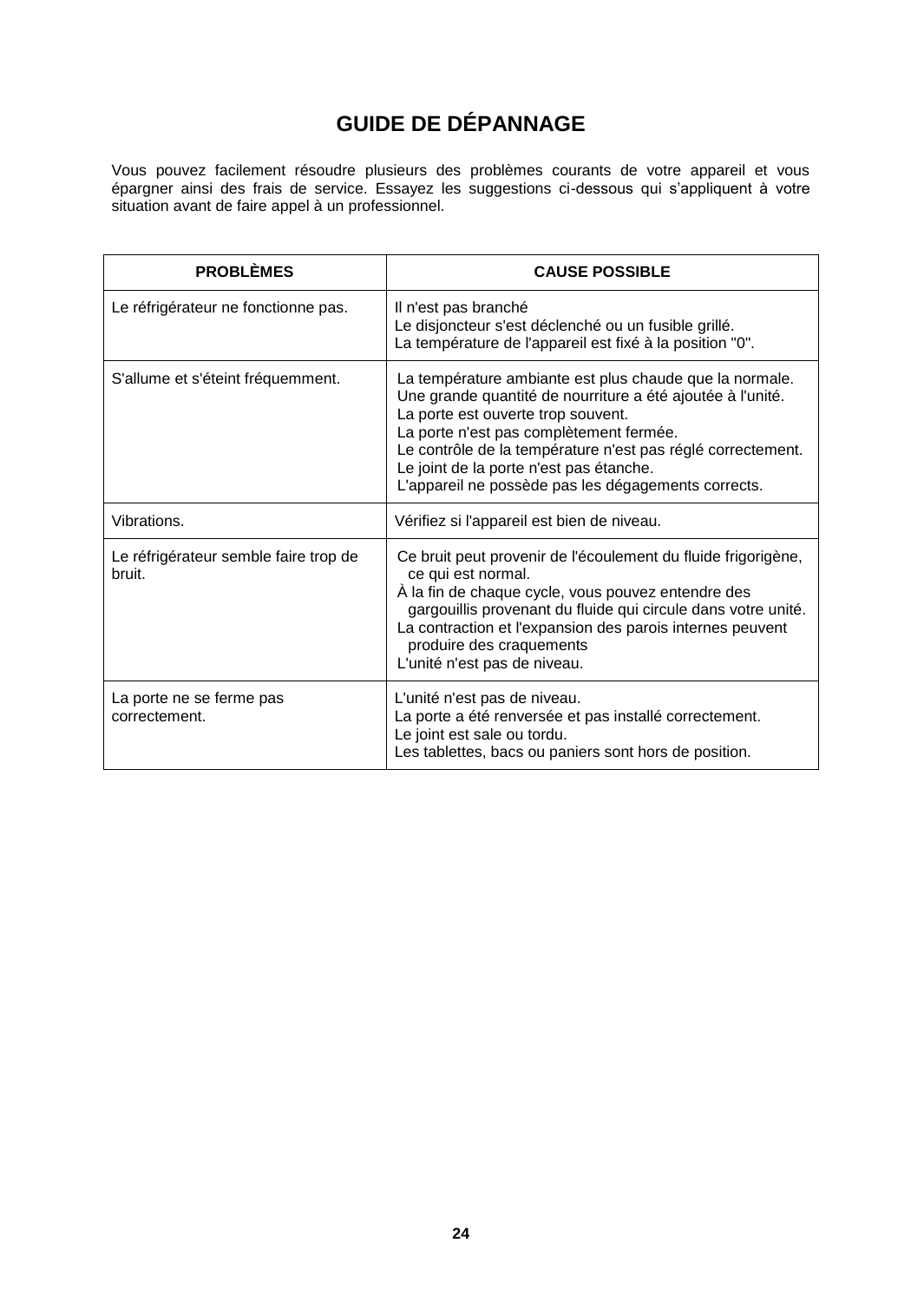# **GUIDE DE DÉPANNAGE**

Vous pouvez facilement résoudre plusieurs des problèmes courants de votre appareil et vous épargner ainsi des frais de service. Essayez les suggestions ci-dessous qui s'appliquent à votre situation avant de faire appel à un professionnel.

| <b>PROBLÈMES</b>                                | <b>CAUSE POSSIBLE</b>                                                                                                                                                                                                                                                                                                                                                   |
|-------------------------------------------------|-------------------------------------------------------------------------------------------------------------------------------------------------------------------------------------------------------------------------------------------------------------------------------------------------------------------------------------------------------------------------|
| Le réfrigérateur ne fonctionne pas.             | Il n'est pas branché<br>Le disjoncteur s'est déclenché ou un fusible grillé.<br>La température de l'appareil est fixé à la position "0".                                                                                                                                                                                                                                |
| S'allume et s'éteint fréquemment.               | La température ambiante est plus chaude que la normale.<br>Une grande quantité de nourriture a été ajoutée à l'unité.<br>La porte est ouverte trop souvent.<br>La porte n'est pas complètement fermée.<br>Le contrôle de la température n'est pas réglé correctement.<br>Le joint de la porte n'est pas étanche.<br>L'appareil ne possède pas les dégagements corrects. |
| Vibrations.                                     | Vérifiez si l'appareil est bien de niveau.                                                                                                                                                                                                                                                                                                                              |
| Le réfrigérateur semble faire trop de<br>bruit. | Ce bruit peut provenir de l'écoulement du fluide frigorigène,<br>ce qui est normal.<br>À la fin de chaque cycle, vous pouvez entendre des<br>gargouillis provenant du fluide qui circule dans votre unité.<br>La contraction et l'expansion des parois internes peuvent<br>produire des craquements<br>L'unité n'est pas de niveau.                                     |
| La porte ne se ferme pas<br>correctement.       | L'unité n'est pas de niveau.<br>La porte a été renversée et pas installé correctement.<br>Le joint est sale ou tordu.<br>Les tablettes, bacs ou paniers sont hors de position.                                                                                                                                                                                          |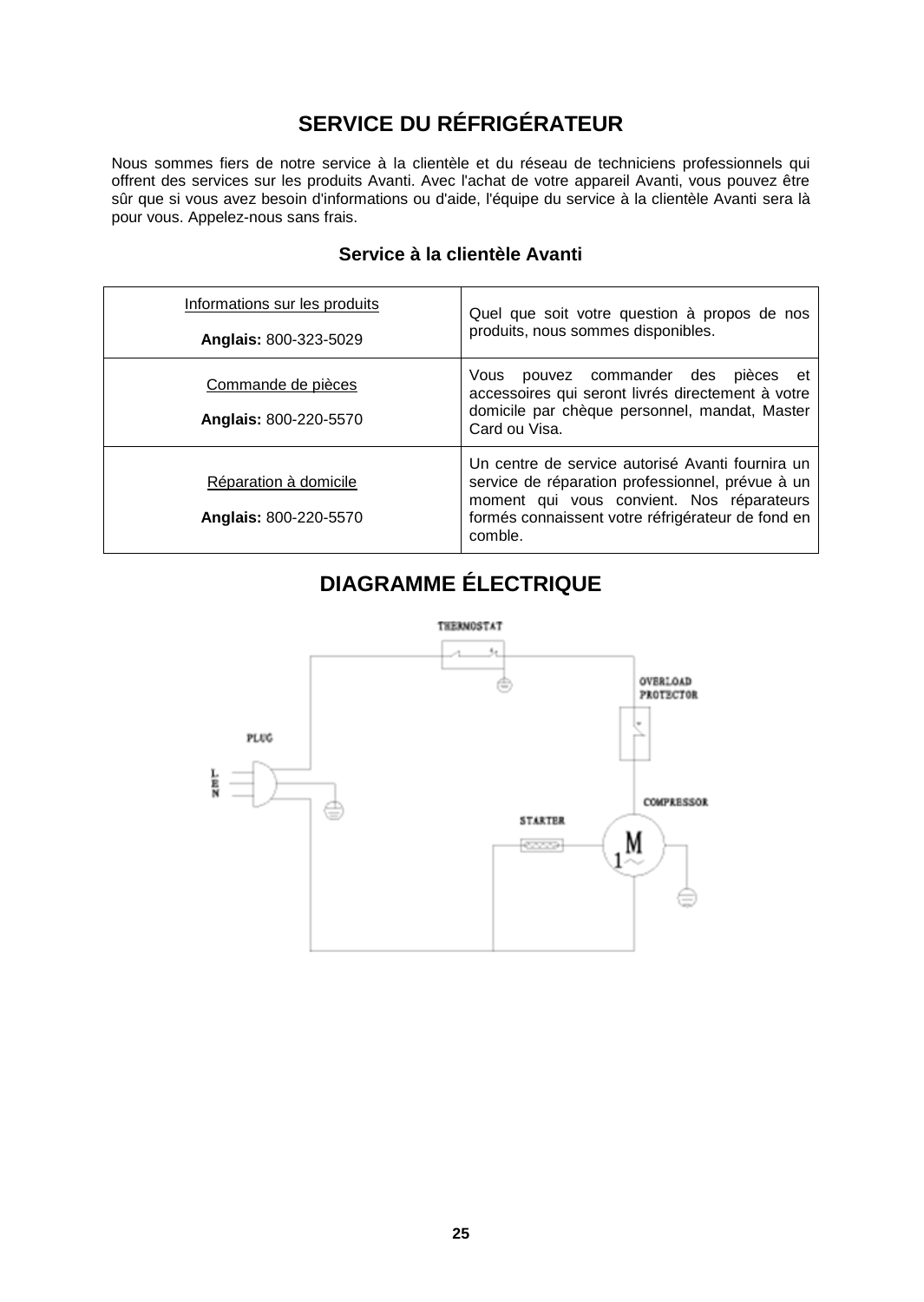# **SERVICE DU RÉFRIGÉRATEUR**

Nous sommes fiers de notre service à la clientèle et du réseau de techniciens professionnels qui offrent des services sur les produits Avanti. Avec l'achat de votre appareil Avanti, vous pouvez être sûr que si vous avez besoin d'informations ou d'aide, l'équipe du service à la clientèle Avanti sera là pour vous. Appelez-nous sans frais.

| Informations sur les produits | Quel que soit votre question à propos de nos |
|-------------------------------|----------------------------------------------|
| Anglais: 800-323-5029         | produits, nous sommes disponibles.           |
| Commande de pièces            | pouvez commander des<br>pièces et<br>Vous    |

Card ou Visa.

comble.

accessoires qui seront livrés directement à votre domicile par chèque personnel, mandat, Master

Un centre de service autorisé Avanti fournira un service de réparation professionnel, prévue à un moment qui vous convient. Nos réparateurs formés connaissent votre réfrigérateur de fond en

**Anglais:** 800-220-5570

Réparation à domicile

**Anglais:** 800-220-5570

# **Service à la clientèle Avanti**

| <b>DIAGRAMME ÉLECTRIQUE</b> |  |  |
|-----------------------------|--|--|
|                             |  |  |
|                             |  |  |

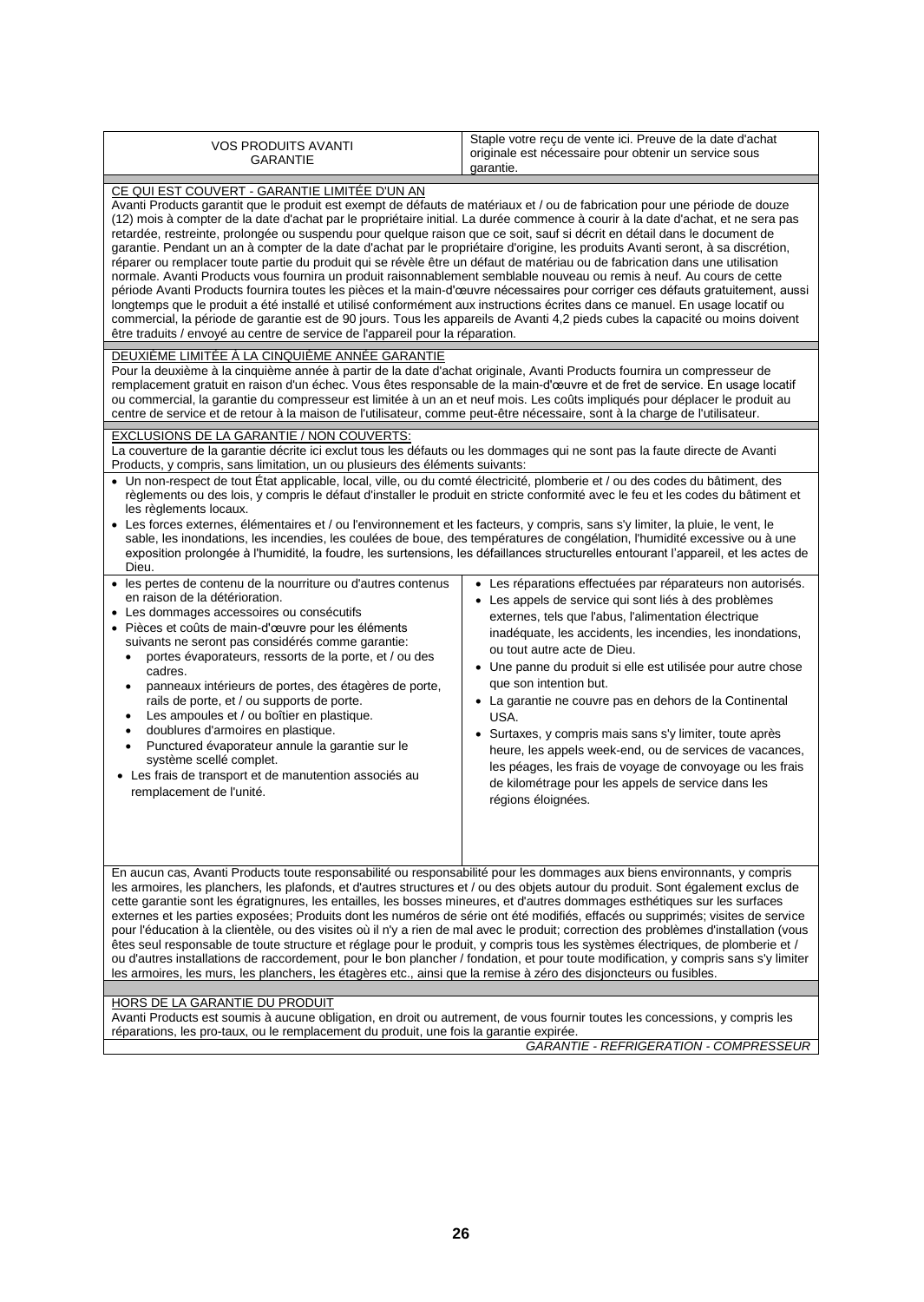| <b>VOS PRODUITS AVANTI</b><br><b>GARANTIE</b>                                                                                                                                                                                                                                                                                                                                                                                                                                                                                                                                                                                                                                                                                                                                                                                                                                                                                                                                                                                                                                                                                                                                                                                                                                                                                    | Staple votre reçu de vente ici. Preuve de la date d'achat<br>originale est nécessaire pour obtenir un service sous<br>garantie.                                                                                                                                                                                                                                                                                                                                                                                                                                                                                                                                                                        |  |  |
|----------------------------------------------------------------------------------------------------------------------------------------------------------------------------------------------------------------------------------------------------------------------------------------------------------------------------------------------------------------------------------------------------------------------------------------------------------------------------------------------------------------------------------------------------------------------------------------------------------------------------------------------------------------------------------------------------------------------------------------------------------------------------------------------------------------------------------------------------------------------------------------------------------------------------------------------------------------------------------------------------------------------------------------------------------------------------------------------------------------------------------------------------------------------------------------------------------------------------------------------------------------------------------------------------------------------------------|--------------------------------------------------------------------------------------------------------------------------------------------------------------------------------------------------------------------------------------------------------------------------------------------------------------------------------------------------------------------------------------------------------------------------------------------------------------------------------------------------------------------------------------------------------------------------------------------------------------------------------------------------------------------------------------------------------|--|--|
| CE QUI EST COUVERT - GARANTIE LIMITÉE D'UN AN<br>Avanti Products garantit que le produit est exempt de défauts de matériaux et / ou de fabrication pour une période de douze<br>(12) mois à compter de la date d'achat par le propriétaire initial. La durée commence à courir à la date d'achat, et ne sera pas<br>retardée, restreinte, prolongée ou suspendu pour quelque raison que ce soit, sauf si décrit en détail dans le document de<br>garantie. Pendant un an à compter de la date d'achat par le propriétaire d'origine, les produits Avanti seront, à sa discrétion,<br>réparer ou remplacer toute partie du produit qui se révèle être un défaut de matériau ou de fabrication dans une utilisation<br>normale. Avanti Products vous fournira un produit raisonnablement semblable nouveau ou remis à neuf. Au cours de cette<br>période Avanti Products fournira toutes les pièces et la main-d'œuvre nécessaires pour corriger ces défauts gratuitement, aussi<br>longtemps que le produit a été installé et utilisé conformément aux instructions écrites dans ce manuel. En usage locatif ou<br>commercial, la période de garantie est de 90 jours. Tous les appareils de Avanti 4,2 pieds cubes la capacité ou moins doivent<br>être traduits / envoyé au centre de service de l'appareil pour la réparation. |                                                                                                                                                                                                                                                                                                                                                                                                                                                                                                                                                                                                                                                                                                        |  |  |
| DEUXIÈME LIMITÉE À LA CINQUIÈME ANNÉE GARANTIE<br>Pour la deuxième à la cinquième année à partir de la date d'achat originale, Avanti Products fournira un compresseur de<br>remplacement gratuit en raison d'un échec. Vous êtes responsable de la main-d'œuvre et de fret de service. En usage locatif<br>ou commercial, la garantie du compresseur est limitée à un an et neuf mois. Les coûts impliqués pour déplacer le produit au<br>centre de service et de retour à la maison de l'utilisateur, comme peut-être nécessaire, sont à la charge de l'utilisateur.                                                                                                                                                                                                                                                                                                                                                                                                                                                                                                                                                                                                                                                                                                                                                           |                                                                                                                                                                                                                                                                                                                                                                                                                                                                                                                                                                                                                                                                                                        |  |  |
| EXCLUSIONS DE LA GARANTIE / NON COUVERTS:<br>La couverture de la garantie décrite ici exclut tous les défauts ou les dommages qui ne sont pas la faute directe de Avanti<br>Products, y compris, sans limitation, un ou plusieurs des éléments suivants:                                                                                                                                                                                                                                                                                                                                                                                                                                                                                                                                                                                                                                                                                                                                                                                                                                                                                                                                                                                                                                                                         |                                                                                                                                                                                                                                                                                                                                                                                                                                                                                                                                                                                                                                                                                                        |  |  |
| · Un non-respect de tout État applicable, local, ville, ou du comté électricité, plomberie et / ou des codes du bâtiment, des<br>règlements ou des lois, y compris le défaut d'installer le produit en stricte conformité avec le feu et les codes du bâtiment et<br>les règlements locaux.<br>• Les forces externes, élémentaires et / ou l'environnement et les facteurs, y compris, sans s'y limiter, la pluie, le vent, le<br>sable, les inondations, les incendies, les coulées de boue, des températures de congélation, l'humidité excessive ou à une<br>exposition prolongée à l'humidité, la foudre, les surtensions, les défaillances structurelles entourant l'appareil, et les actes de<br>Dieu.                                                                                                                                                                                                                                                                                                                                                                                                                                                                                                                                                                                                                     |                                                                                                                                                                                                                                                                                                                                                                                                                                                                                                                                                                                                                                                                                                        |  |  |
| · les pertes de contenu de la nourriture ou d'autres contenus<br>en raison de la détérioration.<br>• Les dommages accessoires ou consécutifs<br>· Pièces et coûts de main-d'œuvre pour les éléments<br>suivants ne seront pas considérés comme garantie:<br>portes évaporateurs, ressorts de la porte, et / ou des<br>cadres.<br>panneaux intérieurs de portes, des étagères de porte,<br>rails de porte, et / ou supports de porte.<br>Les ampoules et / ou boîtier en plastique.<br>doublures d'armoires en plastique.<br>Punctured évaporateur annule la garantie sur le<br>٠<br>système scellé complet.<br>• Les frais de transport et de manutention associés au<br>remplacement de l'unité.                                                                                                                                                                                                                                                                                                                                                                                                                                                                                                                                                                                                                                | • Les réparations effectuées par réparateurs non autorisés.<br>• Les appels de service qui sont liés à des problèmes<br>externes, tels que l'abus, l'alimentation électrique<br>inadéquate, les accidents, les incendies, les inondations,<br>ou tout autre acte de Dieu.<br>• Une panne du produit si elle est utilisée pour autre chose<br>que son intention but.<br>• La garantie ne couvre pas en dehors de la Continental<br>USA.<br>• Surtaxes, y compris mais sans s'y limiter, toute après<br>heure, les appels week-end, ou de services de vacances,<br>les péages, les frais de voyage de convoyage ou les frais<br>de kilométrage pour les appels de service dans les<br>régions éloignées. |  |  |
| En aucun cas, Avanti Products toute responsabilité ou responsabilité pour les dommages aux biens environnants, y compris<br>les armoires, les planchers, les plafonds, et d'autres structures et / ou des objets autour du produit. Sont également exclus de<br>cette garantie sont les égratignures, les entailles, les bosses mineures, et d'autres dommages esthétiques sur les surfaces<br>externes et les parties exposées; Produits dont les numéros de série ont été modifiés, effacés ou supprimés; visites de service<br>pour l'éducation à la clientèle, ou des visites où il n'y a rien de mal avec le produit; correction des problèmes d'installation (vous<br>êtes seul responsable de toute structure et réglage pour le produit, y compris tous les systèmes électriques, de plomberie et /<br>ou d'autres installations de raccordement, pour le bon plancher / fondation, et pour toute modification, y compris sans s'y limiter<br>les armoires, les murs, les planchers, les étagères etc., ainsi que la remise à zéro des disjoncteurs ou fusibles.                                                                                                                                                                                                                                                         |                                                                                                                                                                                                                                                                                                                                                                                                                                                                                                                                                                                                                                                                                                        |  |  |
| HORS DE LA GARANTIE DU PRODUIT<br>Avanti Products est soumis à aucune obligation, en droit ou autrement, de vous fournir toutes les concessions, y compris les                                                                                                                                                                                                                                                                                                                                                                                                                                                                                                                                                                                                                                                                                                                                                                                                                                                                                                                                                                                                                                                                                                                                                                   |                                                                                                                                                                                                                                                                                                                                                                                                                                                                                                                                                                                                                                                                                                        |  |  |

réparations, les pro-taux, ou le remplacement du produit, une fois la garantie expirée.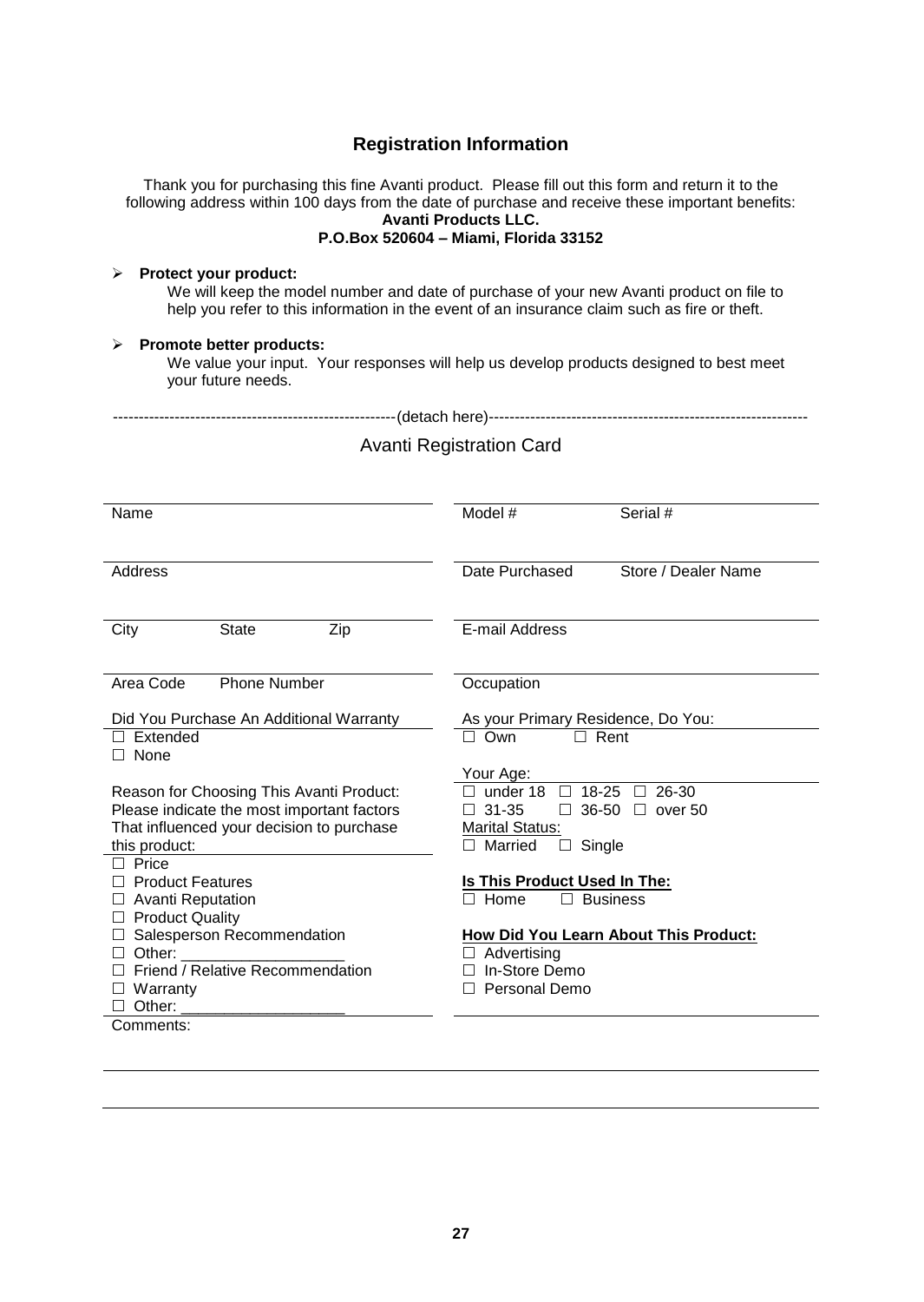# **Registration Information**

Thank you for purchasing this fine Avanti product. Please fill out this form and return it to the following address within 100 days from the date of purchase and receive these important benefits: **Avanti Products LLC. P.O.Box 520604 – Miami, Florida 33152**

#### **Protect your product:**

We will keep the model number and date of purchase of your new Avanti product on file to help you refer to this information in the event of an insurance claim such as fire or theft.

#### **Promote better products:**

We value your input. Your responses will help us develop products designed to best meet your future needs.

|--|--|

## Avanti Registration Card

| Name                                       |              |            | Model #                                                     | Serial #            |
|--------------------------------------------|--------------|------------|-------------------------------------------------------------|---------------------|
| Address                                    |              |            | Date Purchased                                              | Store / Dealer Name |
| City                                       | <b>State</b> | Zip        | E-mail Address                                              |                     |
| Area Code<br><b>Phone Number</b>           |              | Occupation |                                                             |                     |
| Did You Purchase An Additional Warranty    |              |            | As your Primary Residence, Do You:                          |                     |
| Extended<br>None                           |              |            | Rent<br>Own                                                 |                     |
| Reason for Choosing This Avanti Product:   |              |            | Your Age:<br>$18 - 25$<br>26-30<br>under 18<br>П            |                     |
| Please indicate the most important factors |              |            | $36 - 50$<br>$31 - 35$<br>over 50<br>$\Box$<br>$\Box$       |                     |
| That influenced your decision to purchase  |              |            | <b>Marital Status:</b><br>Single                            |                     |
| this product:<br>Price                     |              |            | Married<br>П<br>⊔                                           |                     |
| <b>Product Features</b>                    |              |            | Is This Product Used In The:                                |                     |
| <b>Avanti Reputation</b>                   |              |            | Home                                                        | <b>Business</b>     |
| <b>Product Quality</b>                     |              |            |                                                             |                     |
| Salesperson Recommendation<br>Other:       |              |            | How Did You Learn About This Product:<br>$\Box$ Advertising |                     |
| Friend / Relative Recommendation           |              |            | In-Store Demo                                               |                     |
| Warranty                                   |              |            | Personal Demo                                               |                     |
| Other:                                     |              |            |                                                             |                     |
| Comments:                                  |              |            |                                                             |                     |
|                                            |              |            |                                                             |                     |